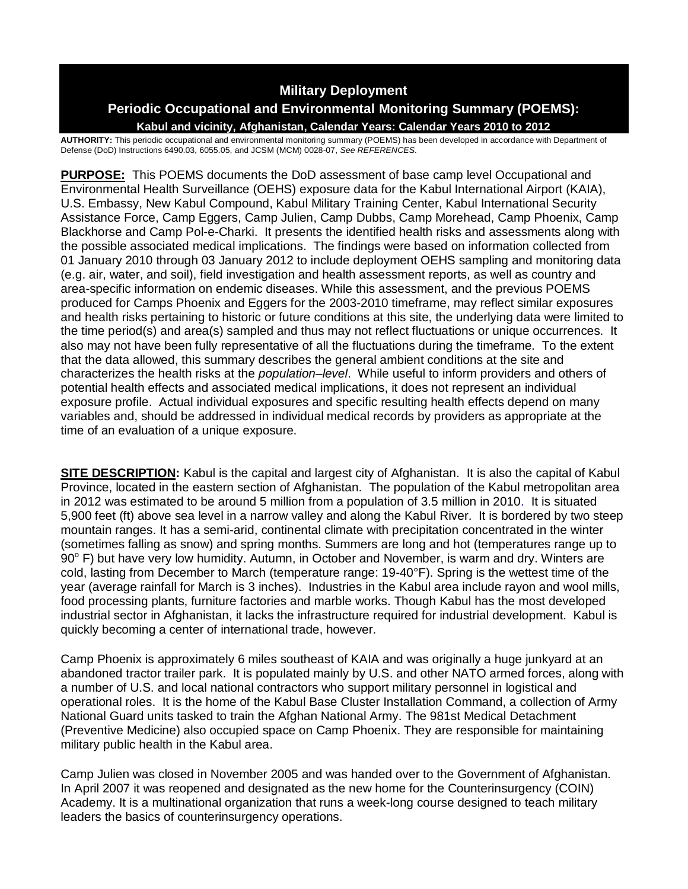# **Military Deployment**

# **Periodic Occupational and Environmental Monitoring Summary (POEMS):**

**Kabul and vicinity, Afghanistan, Calendar Years: Calendar Years 2010 to 2012**

**AUTHORITY:** This periodic occupational and environmental monitoring summary (POEMS) has been developed in accordance with Department of Defense (DoD) Instructions 6490.03, 6055.05, and JCSM (MCM) 0028-07, *See REFERENCES.*

**PURPOSE:** This POEMS documents the DoD assessment of base camp level Occupational and Environmental Health Surveillance (OEHS) exposure data for the Kabul International Airport (KAIA), U.S. Embassy, New Kabul Compound, Kabul Military Training Center, Kabul International Security Assistance Force, Camp Eggers, Camp Julien, Camp Dubbs, Camp Morehead, Camp Phoenix, Camp Blackhorse and Camp Pol-e-Charki. It presents the identified health risks and assessments along with the possible associated medical implications. The findings were based on information collected from 01 January 2010 through 03 January 2012 to include deployment OEHS sampling and monitoring data (e.g. air, water, and soil), field investigation and health assessment reports, as well as country and area-specific information on endemic diseases. While this assessment, and the previous POEMS produced for Camps Phoenix and Eggers for the 2003-2010 timeframe, may reflect similar exposures and health risks pertaining to historic or future conditions at this site, the underlying data were limited to the time period(s) and area(s) sampled and thus may not reflect fluctuations or unique occurrences. It also may not have been fully representative of all the fluctuations during the timeframe. To the extent that the data allowed, this summary describes the general ambient conditions at the site and characterizes the health risks at the *population–level*. While useful to inform providers and others of potential health effects and associated medical implications, it does not represent an individual exposure profile. Actual individual exposures and specific resulting health effects depend on many variables and, should be addressed in individual medical records by providers as appropriate at the time of an evaluation of a unique exposure.

**SITE DESCRIPTION:** Kabul is the capital and largest city of Afghanistan. It is also the capital of Kabul Province, located in the eastern section of Afghanistan. The population of the Kabul metropolitan area in 2012 was estimated to be around 5 million from a population of 3.5 million in 2010. It is situated 5,900 feet (ft) above sea level in a narrow valley and along the Kabul River. It is bordered by two steep mountain ranges. It has a semi-arid, continental climate with precipitation concentrated in the winter (sometimes falling as snow) and spring months. Summers are long and hot (temperatures range up to  $90^{\circ}$  F) but have very low humidity. Autumn, in October and November, is warm and dry. Winters are cold, lasting from December to March (temperature range: 19-40°F). Spring is the wettest time of the year (average rainfall for March is 3 inches). Industries in the Kabul area include rayon and wool mills, food processing plants, furniture factories and marble works. Though Kabul has the most developed industrial sector in Afghanistan, it lacks the infrastructure required for industrial development. Kabul is quickly becoming a center of international trade, however.

Camp Phoenix is approximately 6 miles southeast of KAIA and was originally a huge junkyard at an abandoned tractor trailer park. It is populated mainly by U.S. and other NATO armed forces, along with a number of U.S. and local national contractors who support military personnel in logistical and operational roles. It is the home of the Kabul Base Cluster Installation Command, a collection of Army National Guard units tasked to train the Afghan National Army. The 981st Medical Detachment (Preventive Medicine) also occupied space on Camp Phoenix. They are responsible for maintaining military public health in the Kabul area.

Camp Julien was closed in November 2005 and was handed over to the Government of Afghanistan. In April 2007 it was reopened and designated as the new home for the Counterinsurgency (COIN) Academy. It is a multinational organization that runs a week-long course designed to teach military leaders the basics of counterinsurgency operations.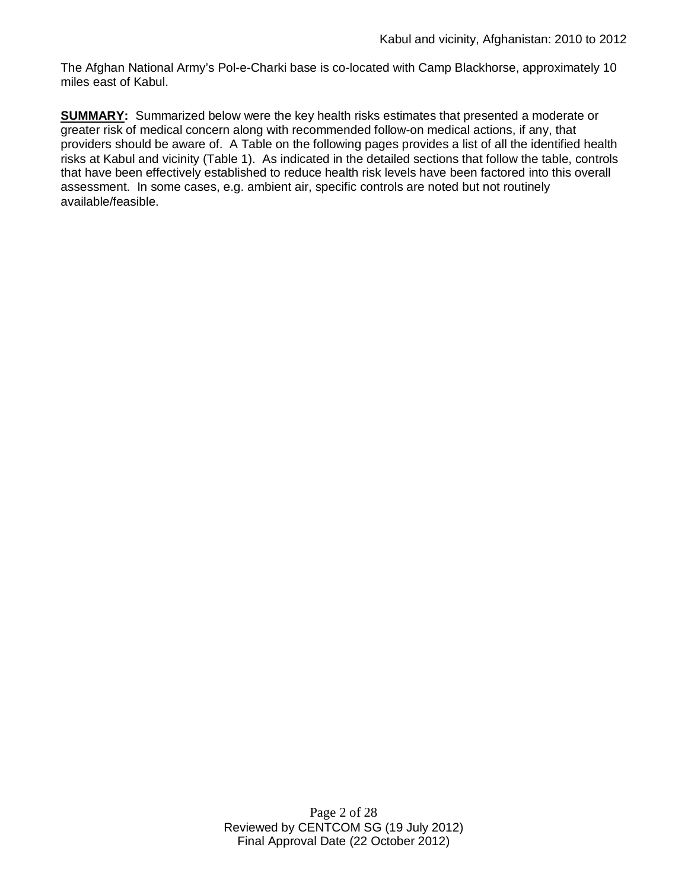The Afghan National Army's Pol-e-Charki base is co-located with Camp Blackhorse, approximately 10 miles east of Kabul.

**SUMMARY:** Summarized below were the key health risks estimates that presented a moderate or greater risk of medical concern along with recommended follow-on medical actions, if any, that providers should be aware of. A Table on the following pages provides a list of all the identified health risks at Kabul and vicinity (Table 1). As indicated in the detailed sections that follow the table, controls that have been effectively established to reduce health risk levels have been factored into this overall assessment. In some cases, e.g. ambient air, specific controls are noted but not routinely available/feasible.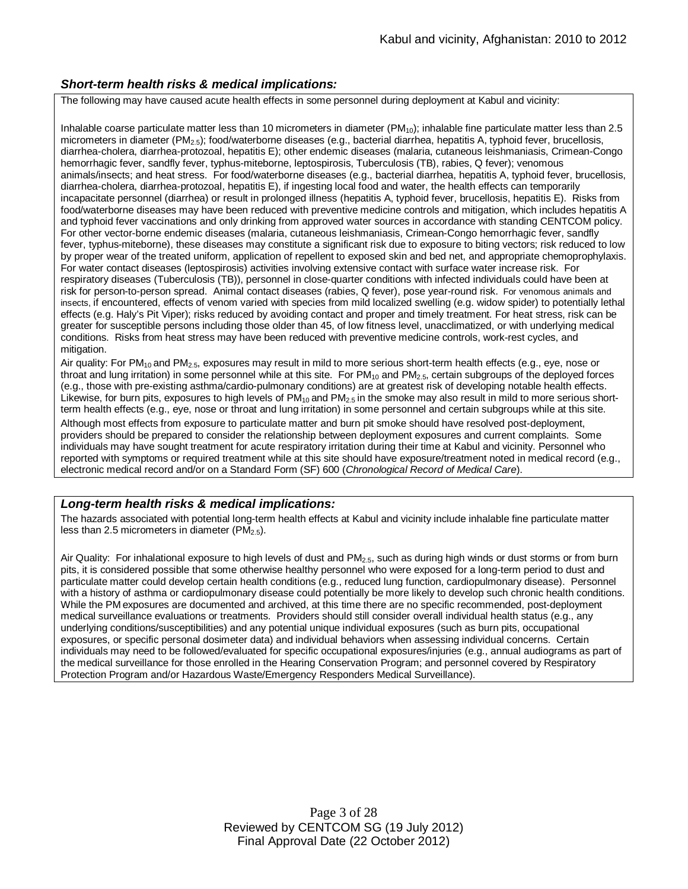### *Short-term health risks & medical implications:*

The following may have caused acute health effects in some personnel during deployment at Kabul and vicinity:

Inhalable coarse particulate matter less than 10 micrometers in diameter  $(PM_{10})$ ; inhalable fine particulate matter less than 2.5 micrometers in diameter (PM<sub>2.5</sub>); food/waterborne diseases (e.g., bacterial diarrhea, hepatitis A, typhoid fever, brucellosis, diarrhea-cholera, diarrhea-protozoal, hepatitis E); other endemic diseases (malaria, cutaneous leishmaniasis, Crimean-Congo hemorrhagic fever, sandfly fever, typhus-miteborne, leptospirosis, Tuberculosis (TB), rabies, Q fever); venomous animals/insects; and heat stress. For food/waterborne diseases (e.g., bacterial diarrhea, hepatitis A, typhoid fever, brucellosis, diarrhea-cholera, diarrhea-protozoal, hepatitis E), if ingesting local food and water, the health effects can temporarily incapacitate personnel (diarrhea) or result in prolonged illness (hepatitis A, typhoid fever, brucellosis, hepatitis E). Risks from food/waterborne diseases may have been reduced with preventive medicine controls and mitigation, which includes hepatitis A and typhoid fever vaccinations and only drinking from approved water sources in accordance with standing CENTCOM policy. For other vector-borne endemic diseases (malaria, cutaneous leishmaniasis, Crimean-Congo hemorrhagic fever, sandfly fever, typhus-miteborne), these diseases may constitute a significant risk due to exposure to biting vectors; risk reduced to low by proper wear of the treated uniform, application of repellent to exposed skin and bed net, and appropriate chemoprophylaxis. For water contact diseases (leptospirosis) activities involving extensive contact with surface water increase risk. For respiratory diseases (Tuberculosis (TB)), personnel in close-quarter conditions with infected individuals could have been at risk for person-to-person spread. Animal contact diseases (rabies, Q fever), pose year-round risk. For venomous animals and insects, if encountered, effects of venom varied with species from mild localized swelling (e.g. widow spider) to potentially lethal effects (e.g. Haly's Pit Viper); risks reduced by avoiding contact and proper and timely treatment. For heat stress, risk can be greater for susceptible persons including those older than 45, of low fitness level, unacclimatized, or with underlying medical conditions. Risks from heat stress may have been reduced with preventive medicine controls, work-rest cycles, and mitigation.

Air quality: For PM<sub>10</sub> and PM<sub>2.5</sub>, exposures may result in mild to more serious short-term health effects (e.g., eye, nose or throat and lung irritation) in some personnel while at this site. For PM<sub>10</sub> and PM<sub>2.5</sub>, certain subgroups of the deployed forces (e.g., those with pre-existing asthma/cardio-pulmonary conditions) are at greatest risk of developing notable health effects. Likewise, for burn pits, exposures to high levels of  $PM_{10}$  and  $PM_{2.5}$  in the smoke may also result in mild to more serious shortterm health effects (e.g., eye, nose or throat and lung irritation) in some personnel and certain subgroups while at this site. Although most effects from exposure to particulate matter and burn pit smoke should have resolved post-deployment, providers should be prepared to consider the relationship between deployment exposures and current complaints. Some individuals may have sought treatment for acute respiratory irritation during their time at Kabul and vicinity. Personnel who reported with symptoms or required treatment while at this site should have exposure/treatment noted in medical record (e.g., electronic medical record and/or on a Standard Form (SF) 600 (*Chronological Record of Medical Care*).

### *Long-term health risks & medical implications:*

The hazards associated with potential long-term health effects at Kabul and vicinity include inhalable fine particulate matter less than 2.5 micrometers in diameter ( $PM<sub>2.5</sub>$ ).

Air Quality: For inhalational exposure to high levels of dust and PM<sub>2.5</sub>, such as during high winds or dust storms or from burn pits, it is considered possible that some otherwise healthy personnel who were exposed for a long-term period to dust and particulate matter could develop certain health conditions (e.g., reduced lung function, cardiopulmonary disease). Personnel with a history of asthma or cardiopulmonary disease could potentially be more likely to develop such chronic health conditions. While the PM exposures are documented and archived, at this time there are no specific recommended, post-deployment medical surveillance evaluations or treatments. Providers should still consider overall individual health status (e.g., any underlying conditions/susceptibilities) and any potential unique individual exposures (such as burn pits, occupational exposures, or specific personal dosimeter data) and individual behaviors when assessing individual concerns. Certain individuals may need to be followed/evaluated for specific occupational exposures/injuries (e.g., annual audiograms as part of the medical surveillance for those enrolled in the Hearing Conservation Program; and personnel covered by Respiratory Protection Program and/or Hazardous Waste/Emergency Responders Medical Surveillance).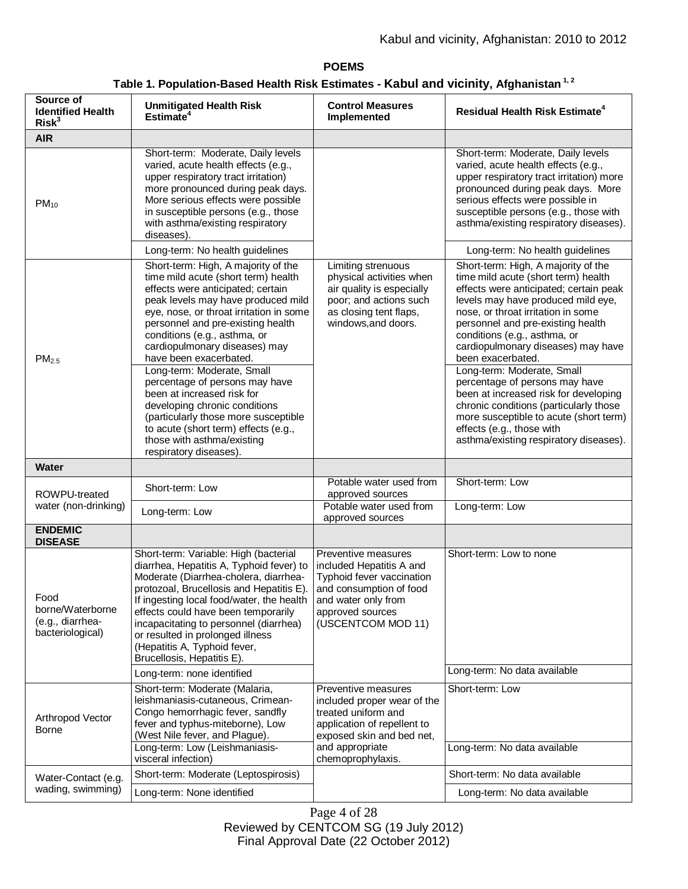# **POEMS Table 1. Population-Based Health Risk Estimates - Kabul and vicinity, Afghanistan 1, 2**

| Source of<br><b>Identified Health</b><br>Risk <sup>3</sup>       | <b>Unmitigated Health Risk</b><br>Estimate <sup>4</sup>                                                                                                                                                                                                                                                                                                                                                                                                                                                                                                                                                 | <b>Control Measures</b><br>Implemented                                                                                                                                        | <b>Residual Health Risk Estimate<sup>4</sup></b>                                                                                                                                                                                                                                                                                                                                                                                                                                                                                                                                                     |
|------------------------------------------------------------------|---------------------------------------------------------------------------------------------------------------------------------------------------------------------------------------------------------------------------------------------------------------------------------------------------------------------------------------------------------------------------------------------------------------------------------------------------------------------------------------------------------------------------------------------------------------------------------------------------------|-------------------------------------------------------------------------------------------------------------------------------------------------------------------------------|------------------------------------------------------------------------------------------------------------------------------------------------------------------------------------------------------------------------------------------------------------------------------------------------------------------------------------------------------------------------------------------------------------------------------------------------------------------------------------------------------------------------------------------------------------------------------------------------------|
| <b>AIR</b>                                                       |                                                                                                                                                                                                                                                                                                                                                                                                                                                                                                                                                                                                         |                                                                                                                                                                               |                                                                                                                                                                                                                                                                                                                                                                                                                                                                                                                                                                                                      |
| $PM_{10}$                                                        | Short-term: Moderate, Daily levels<br>varied, acute health effects (e.g.,<br>upper respiratory tract irritation)<br>more pronounced during peak days.<br>More serious effects were possible<br>in susceptible persons (e.g., those<br>with asthma/existing respiratory<br>diseases).<br>Long-term: No health guidelines                                                                                                                                                                                                                                                                                 |                                                                                                                                                                               | Short-term: Moderate, Daily levels<br>varied, acute health effects (e.g.,<br>upper respiratory tract irritation) more<br>pronounced during peak days. More<br>serious effects were possible in<br>susceptible persons (e.g., those with<br>asthma/existing respiratory diseases).<br>Long-term: No health guidelines                                                                                                                                                                                                                                                                                 |
| PM <sub>2.5</sub>                                                | Short-term: High, A majority of the<br>time mild acute (short term) health<br>effects were anticipated; certain<br>peak levels may have produced mild<br>eye, nose, or throat irritation in some<br>personnel and pre-existing health<br>conditions (e.g., asthma, or<br>cardiopulmonary diseases) may<br>have been exacerbated.<br>Long-term: Moderate, Small<br>percentage of persons may have<br>been at increased risk for<br>developing chronic conditions<br>(particularly those more susceptible<br>to acute (short term) effects (e.g.,<br>those with asthma/existing<br>respiratory diseases). | Limiting strenuous<br>physical activities when<br>air quality is especially<br>poor; and actions such<br>as closing tent flaps,<br>windows, and doors.                        | Short-term: High, A majority of the<br>time mild acute (short term) health<br>effects were anticipated; certain peak<br>levels may have produced mild eye,<br>nose, or throat irritation in some<br>personnel and pre-existing health<br>conditions (e.g., asthma, or<br>cardiopulmonary diseases) may have<br>been exacerbated.<br>Long-term: Moderate, Small<br>percentage of persons may have<br>been at increased risk for developing<br>chronic conditions (particularly those<br>more susceptible to acute (short term)<br>effects (e.g., those with<br>asthma/existing respiratory diseases). |
| <b>Water</b>                                                     |                                                                                                                                                                                                                                                                                                                                                                                                                                                                                                                                                                                                         |                                                                                                                                                                               |                                                                                                                                                                                                                                                                                                                                                                                                                                                                                                                                                                                                      |
| ROWPU-treated<br>water (non-drinking)                            | Short-term: Low                                                                                                                                                                                                                                                                                                                                                                                                                                                                                                                                                                                         | Potable water used from<br>approved sources<br>Potable water used from                                                                                                        | Short-term: Low<br>Long-term: Low                                                                                                                                                                                                                                                                                                                                                                                                                                                                                                                                                                    |
|                                                                  | Long-term: Low                                                                                                                                                                                                                                                                                                                                                                                                                                                                                                                                                                                          | approved sources                                                                                                                                                              |                                                                                                                                                                                                                                                                                                                                                                                                                                                                                                                                                                                                      |
| <b>ENDEMIC</b><br><b>DISEASE</b>                                 |                                                                                                                                                                                                                                                                                                                                                                                                                                                                                                                                                                                                         |                                                                                                                                                                               |                                                                                                                                                                                                                                                                                                                                                                                                                                                                                                                                                                                                      |
| Food<br>borne/Waterborne<br>(e.g., diarrhea-<br>bacteriological) | Short-term: Variable: High (bacterial<br>diarrhea, Hepatitis A, Typhoid fever) to<br>Moderate (Diarrhea-cholera, diarrhea-<br>protozoal, Brucellosis and Hepatitis E).<br>If ingesting local food/water, the health<br>effects could have been temporarily<br>incapacitating to personnel (diarrhea)<br>or resulted in prolonged illness<br>(Hepatitis A, Typhoid fever,<br>Brucellosis, Hepatitis E).                                                                                                                                                                                                  | Preventive measures<br>included Hepatitis A and<br>Typhoid fever vaccination<br>and consumption of food<br>and water only from<br>approved sources<br>(USCENTCOM MOD 11)      | Short-term: Low to none                                                                                                                                                                                                                                                                                                                                                                                                                                                                                                                                                                              |
|                                                                  | Long-term: none identified                                                                                                                                                                                                                                                                                                                                                                                                                                                                                                                                                                              |                                                                                                                                                                               | Long-term: No data available                                                                                                                                                                                                                                                                                                                                                                                                                                                                                                                                                                         |
| Arthropod Vector<br>Borne                                        | Short-term: Moderate (Malaria,<br>leishmaniasis-cutaneous, Crimean-<br>Congo hemorrhagic fever, sandfly<br>fever and typhus-miteborne), Low<br>(West Nile fever, and Plague).<br>Long-term: Low (Leishmaniasis-<br>visceral infection)                                                                                                                                                                                                                                                                                                                                                                  | Preventive measures<br>included proper wear of the<br>treated uniform and<br>application of repellent to<br>exposed skin and bed net,<br>and appropriate<br>chemoprophylaxis. | Short-term: Low<br>Long-term: No data available                                                                                                                                                                                                                                                                                                                                                                                                                                                                                                                                                      |
| Water-Contact (e.g.                                              | Short-term: Moderate (Leptospirosis)                                                                                                                                                                                                                                                                                                                                                                                                                                                                                                                                                                    |                                                                                                                                                                               | Short-term: No data available                                                                                                                                                                                                                                                                                                                                                                                                                                                                                                                                                                        |
| wading, swimming)                                                | Long-term: None identified                                                                                                                                                                                                                                                                                                                                                                                                                                                                                                                                                                              |                                                                                                                                                                               | Long-term: No data available                                                                                                                                                                                                                                                                                                                                                                                                                                                                                                                                                                         |

Page 4 of 28 Reviewed by CENTCOM SG (19 July 2012) Final Approval Date (22 October 2012)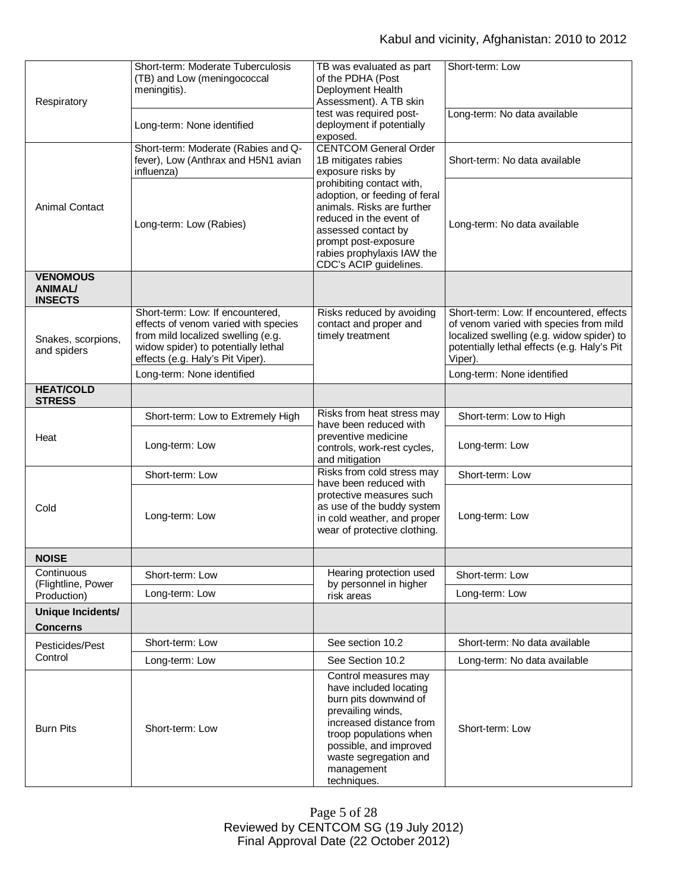| Respiratory                                         | Short-term: Moderate Tuberculosis<br>(TB) and Low (meningococcal<br>meningitis).                                                                                                          | TB was evaluated as part<br>of the PDHA (Post<br>Deployment Health<br>Assessment). A TB skin                                                                                                                                      | Short-term: Low                                                                                                                                                                           |
|-----------------------------------------------------|-------------------------------------------------------------------------------------------------------------------------------------------------------------------------------------------|-----------------------------------------------------------------------------------------------------------------------------------------------------------------------------------------------------------------------------------|-------------------------------------------------------------------------------------------------------------------------------------------------------------------------------------------|
|                                                     | Long-term: None identified                                                                                                                                                                | test was required post-<br>deployment if potentially<br>exposed.                                                                                                                                                                  | Long-term: No data available                                                                                                                                                              |
|                                                     | Short-term: Moderate (Rabies and Q-<br>fever), Low (Anthrax and H5N1 avian<br>influenza)                                                                                                  | <b>CENTCOM General Order</b><br>1B mitigates rabies<br>exposure risks by                                                                                                                                                          | Short-term: No data available                                                                                                                                                             |
| <b>Animal Contact</b>                               | Long-term: Low (Rabies)                                                                                                                                                                   | prohibiting contact with,<br>adoption, or feeding of feral<br>animals. Risks are further<br>reduced in the event of<br>assessed contact by<br>prompt post-exposure<br>rabies prophylaxis IAW the<br>CDC's ACIP guidelines.        | Long-term: No data available                                                                                                                                                              |
| <b>VENOMOUS</b><br><b>ANIMAL/</b><br><b>INSECTS</b> |                                                                                                                                                                                           |                                                                                                                                                                                                                                   |                                                                                                                                                                                           |
| Snakes, scorpions,<br>and spiders                   | Short-term: Low: If encountered,<br>effects of venom varied with species<br>from mild localized swelling (e.g.<br>widow spider) to potentially lethal<br>effects (e.g. Haly's Pit Viper). | Risks reduced by avoiding<br>contact and proper and<br>timely treatment                                                                                                                                                           | Short-term: Low: If encountered, effects<br>of venom varied with species from mild<br>localized swelling (e.g. widow spider) to<br>potentially lethal effects (e.g. Haly's Pit<br>Viper). |
|                                                     | Long-term: None identified                                                                                                                                                                |                                                                                                                                                                                                                                   | Long-term: None identified                                                                                                                                                                |
| <b>HEAT/COLD</b><br><b>STRESS</b>                   |                                                                                                                                                                                           |                                                                                                                                                                                                                                   |                                                                                                                                                                                           |
|                                                     | Short-term: Low to Extremely High                                                                                                                                                         | Risks from heat stress may<br>have been reduced with                                                                                                                                                                              | Short-term: Low to High                                                                                                                                                                   |
| Heat                                                | Long-term: Low                                                                                                                                                                            | preventive medicine<br>controls, work-rest cycles,<br>and mitigation                                                                                                                                                              | Long-term: Low                                                                                                                                                                            |
|                                                     | Short-term: Low                                                                                                                                                                           | Risks from cold stress may<br>have been reduced with                                                                                                                                                                              | Short-term: Low                                                                                                                                                                           |
| Cold                                                | Long-term: Low                                                                                                                                                                            | protective measures such<br>as use of the buddy system<br>in cold weather, and proper<br>wear of protective clothing.                                                                                                             | Long-term: Low                                                                                                                                                                            |
| <b>NOISE</b>                                        |                                                                                                                                                                                           |                                                                                                                                                                                                                                   |                                                                                                                                                                                           |
| Continuous<br>(Flightline, Power                    | Short-term: Low                                                                                                                                                                           | Hearing protection used<br>by personnel in higher                                                                                                                                                                                 | Short-term: Low                                                                                                                                                                           |
| Production)                                         | Long-term: Low                                                                                                                                                                            | risk areas                                                                                                                                                                                                                        | Long-term: Low                                                                                                                                                                            |
| Unique Incidents/<br><b>Concerns</b>                |                                                                                                                                                                                           |                                                                                                                                                                                                                                   |                                                                                                                                                                                           |
| Pesticides/Pest                                     | Short-term: Low                                                                                                                                                                           | See section 10.2                                                                                                                                                                                                                  | Short-term: No data available                                                                                                                                                             |
| Control                                             | Long-term: Low                                                                                                                                                                            | See Section 10.2                                                                                                                                                                                                                  | Long-term: No data available                                                                                                                                                              |
| <b>Burn Pits</b>                                    | Short-term: Low                                                                                                                                                                           | Control measures may<br>have included locating<br>burn pits downwind of<br>prevailing winds,<br>increased distance from<br>troop populations when<br>possible, and improved<br>waste segregation and<br>management<br>techniques. | Short-term: Low                                                                                                                                                                           |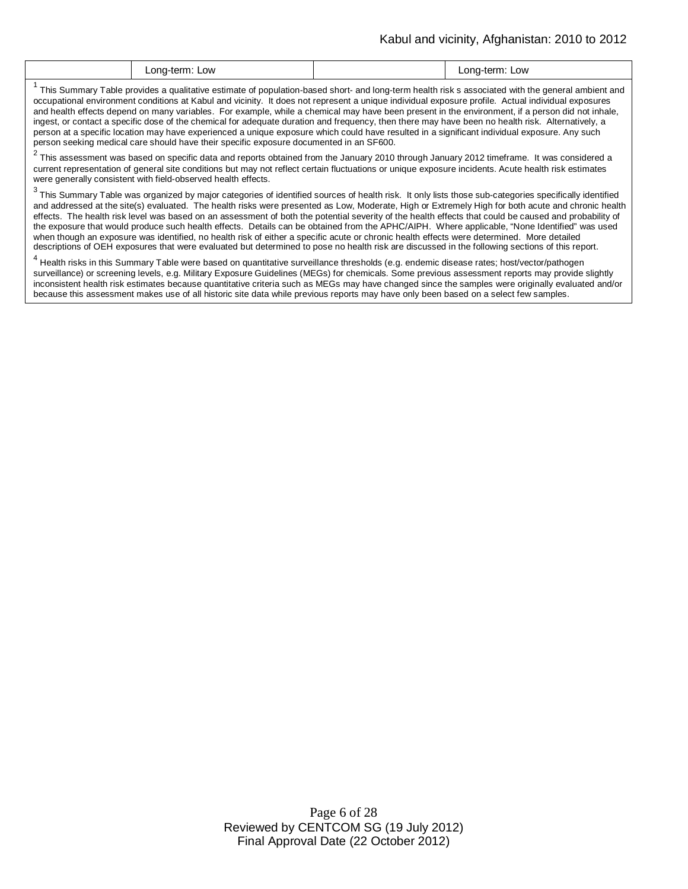| Low<br>Low<br>onc<br>∟ona-terr<br>. . |
|---------------------------------------|
|---------------------------------------|

<sup>1</sup> This Summary Table provides a qualitative estimate of population-based short- and long-term health risk s associated with the general ambient and  $\; \; | \;$ occupational environment conditions at Kabul and vicinity. It does not represent a unique individual exposure profile. Actual individual exposures and health effects depend on many variables. For example, while a chemical may have been present in the environment, if a person did not inhale, ingest, or contact a specific dose of the chemical for adequate duration and frequency, then there may have been no health risk. Alternatively, a person at a specific location may have experienced a unique exposure which could have resulted in a significant individual exposure. Any such person seeking medical care should have their specific exposure documented in an SF600.

 $^2$  This assessment was based on specific data and reports obtained from the January 2010 through January 2012 timeframe. It was considered a current representation of general site conditions but may not reflect certain fluctuations or unique exposure incidents. Acute health risk estimates were generally consistent with field-observed health effects.

 $^3$  This Summary Table was organized by major categories of identified sources of health risk. It only lists those sub-categories specifically identified and addressed at the site(s) evaluated. The health risks were presented as Low, Moderate, High or Extremely High for both acute and chronic health effects. The health risk level was based on an assessment of both the potential severity of the health effects that could be caused and probability of the exposure that would produce such health effects. Details can be obtained from the APHC/AIPH. Where applicable, "None Identified" was used when though an exposure was identified, no health risk of either a specific acute or chronic health effects were determined. More detailed descriptions of OEH exposures that were evaluated but determined to pose no health risk are discussed in the following sections of this report.

<sup>4</sup> Health risks in this Summary Table were based on quantitative surveillance thresholds (e.g. endemic disease rates; host/vector/pathogen surveillance) or screening levels, e.g. Military Exposure Guidelines (MEGs) for chemicals*.* Some previous assessment reports may provide slightly inconsistent health risk estimates because quantitative criteria such as MEGs may have changed since the samples were originally evaluated and/or because this assessment makes use of all historic site data while previous reports may have only been based on a select few samples.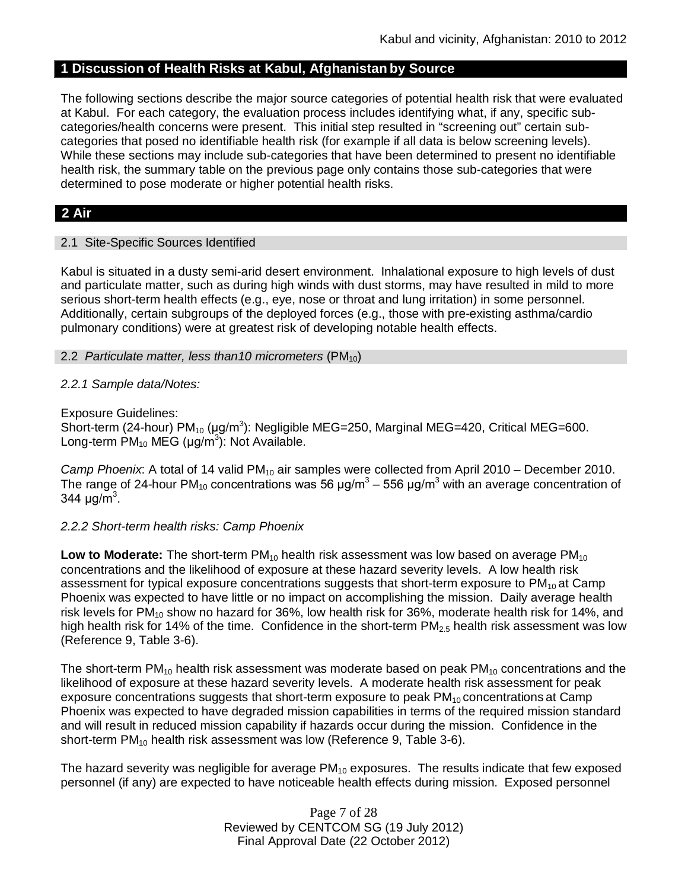## **1 Discussion of Health Risks at Kabul, Afghanistan by Source**

The following sections describe the major source categories of potential health risk that were evaluated at Kabul. For each category, the evaluation process includes identifying what, if any, specific subcategories/health concerns were present. This initial step resulted in "screening out" certain subcategories that posed no identifiable health risk (for example if all data is below screening levels). While these sections may include sub-categories that have been determined to present no identifiable health risk, the summary table on the previous page only contains those sub-categories that were determined to pose moderate or higher potential health risks.

# **2 Air**

### 2.1 Site-Specific Sources Identified

Kabul is situated in a dusty semi-arid desert environment. Inhalational exposure to high levels of dust and particulate matter, such as during high winds with dust storms, may have resulted in mild to more serious short-term health effects (e.g., eye, nose or throat and lung irritation) in some personnel. Additionally, certain subgroups of the deployed forces (e.g., those with pre-existing asthma/cardio pulmonary conditions) were at greatest risk of developing notable health effects.

### 2.2 *Particulate matter, less than10 micrometers* (PM<sub>10</sub>)

### *2.2.1 Sample data/Notes:*

Exposure Guidelines:

Short-term (24-hour) PM<sub>10</sub> (µg/m<sup>3</sup>): Negligible MEG=250, Marginal MEG=420, Critical MEG=600. Long-term  $PM_{10}$  MEG (µg/m<sup>3</sup>): Not Available.

*Camp Phoenix*: A total of 14 valid PM<sub>10</sub> air samples were collected from April 2010 – December 2010. The range of 24-hour PM<sub>10</sub> concentrations was 56 μg/m<sup>3</sup> – 556 μg/m<sup>3</sup> with an average concentration of 344  $\mu$ g/m<sup>3</sup>.

## *2.2.2 Short-term health risks: Camp Phoenix*

**Low to Moderate:** The short-term PM<sub>10</sub> health risk assessment was low based on average PM<sub>10</sub> concentrations and the likelihood of exposure at these hazard severity levels. A low health risk assessment for typical exposure concentrations suggests that short-term exposure to  $PM_{10}$  at Camp Phoenix was expected to have little or no impact on accomplishing the mission. Daily average health risk levels for PM<sub>10</sub> show no hazard for 36%, low health risk for 36%, moderate health risk for 14%, and high health risk for 14% of the time. Confidence in the short-term  $PM_{2.5}$  health risk assessment was low (Reference 9, Table 3-6).

The short-term  $PM_{10}$  health risk assessment was moderate based on peak  $PM_{10}$  concentrations and the likelihood of exposure at these hazard severity levels. A moderate health risk assessment for peak exposure concentrations suggests that short-term exposure to peak  $PM_{10}$  concentrations at Camp Phoenix was expected to have degraded mission capabilities in terms of the required mission standard and will result in reduced mission capability if hazards occur during the mission. Confidence in the short-term PM<sub>10</sub> health risk assessment was low (Reference 9, Table 3-6).

The hazard severity was negligible for average  $PM_{10}$  exposures. The results indicate that few exposed personnel (if any) are expected to have noticeable health effects during mission. Exposed personnel

> Page 7 of 28 Reviewed by CENTCOM SG (19 July 2012) Final Approval Date (22 October 2012)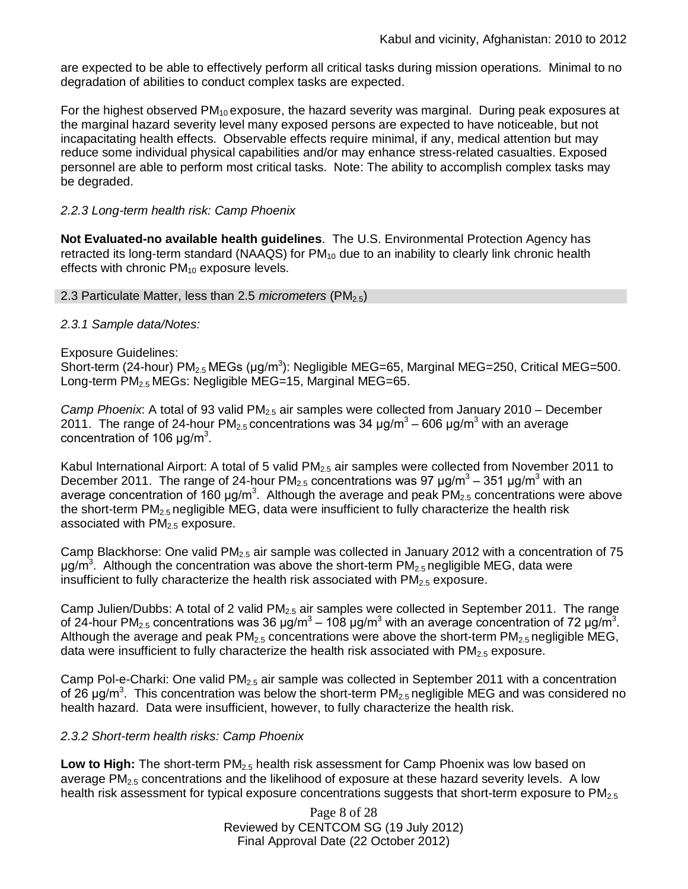are expected to be able to effectively perform all critical tasks during mission operations. Minimal to no degradation of abilities to conduct complex tasks are expected.

For the highest observed  $PM_{10}$  exposure, the hazard severity was marginal. During peak exposures at the marginal hazard severity level many exposed persons are expected to have noticeable, but not incapacitating health effects. Observable effects require minimal, if any, medical attention but may reduce some individual physical capabilities and/or may enhance stress-related casualties. Exposed personnel are able to perform most critical tasks. Note: The ability to accomplish complex tasks may be degraded.

## *2.2.3 Long-term health risk: Camp Phoenix*

**Not Evaluated-no available health guidelines**. The U.S. Environmental Protection Agency has retracted its long-term standard (NAAQS) for  $PM_{10}$  due to an inability to clearly link chronic health effects with chronic  $PM_{10}$  exposure levels.

### 2.3 Particulate Matter, less than 2.5 *micrometers* (PM<sub>2.5</sub>)

## *2.3.1 Sample data/Notes:*

## Exposure Guidelines:

Short-term (24-hour) PM<sub>2.5</sub> MEGs (μg/m<sup>3</sup>): Negligible MEG=65, Marginal MEG=250, Critical MEG=500. Long-term  $PM_{2.5}$  MEGs: Negligible MEG=15, Marginal MEG=65.

*Camp Phoenix*: A total of 93 valid PM2.5 air samples were collected from January 2010 – December 2011. The range of 24-hour PM<sub>2.5</sub> concentrations was 34 μg/m<sup>3</sup> – 606 μg/m<sup>3</sup> with an average concentration of 106  $\mu$ g/m<sup>3</sup>.

Kabul International Airport: A total of 5 valid PM<sub>2.5</sub> air samples were collected from November 2011 to December 2011. The range of 24-hour PM<sub>2.5</sub> concentrations was 97  $\mu$ g/m<sup>3</sup> – 351  $\mu$ g/m<sup>3</sup> with an average concentration of 160  $\mu$ g/m<sup>3</sup>. Although the average and peak PM<sub>2.5</sub> concentrations were above the short-term  $PM_{2.5}$  negligible MEG, data were insufficient to fully characterize the health risk associated with  $PM<sub>2.5</sub>$  exposure.

Camp Blackhorse: One valid  $PM<sub>2.5</sub>$  air sample was collected in January 2012 with a concentration of 75 μg/m<sup>3</sup>. Although the concentration was above the short-term PM<sub>2.5</sub> negligible MEG, data were insufficient to fully characterize the health risk associated with  $PM<sub>2.5</sub>$  exposure.

Camp Julien/Dubbs: A total of 2 valid  $PM<sub>2.5</sub>$  air samples were collected in September 2011. The range of 24-hour PM<sub>2.5</sub> concentrations was 36 μg/m<sup>3</sup> – 108 μg/m<sup>3</sup> with an average concentration of 72 μg/m<sup>3</sup>. Although the average and peak  $PM<sub>2.5</sub>$  concentrations were above the short-term  $PM<sub>2.5</sub>$  negligible MEG, data were insufficient to fully characterize the health risk associated with  $PM_{2.5}$  exposure.

Camp Pol-e-Charki: One valid  $PM<sub>2.5</sub>$  air sample was collected in September 2011 with a concentration of 26 μg/m<sup>3</sup>. This concentration was below the short-term PM<sub>2.5</sub> negligible MEG and was considered no health hazard. Data were insufficient, however, to fully characterize the health risk.

## *2.3.2 Short-term health risks: Camp Phoenix*

Low to High: The short-term PM<sub>2.5</sub> health risk assessment for Camp Phoenix was low based on average  $PM<sub>2.5</sub>$  concentrations and the likelihood of exposure at these hazard severity levels. A low health risk assessment for typical exposure concentrations suggests that short-term exposure to  $PM_{2.5}$ 

> Page 8 of 28 Reviewed by CENTCOM SG (19 July 2012) Final Approval Date (22 October 2012)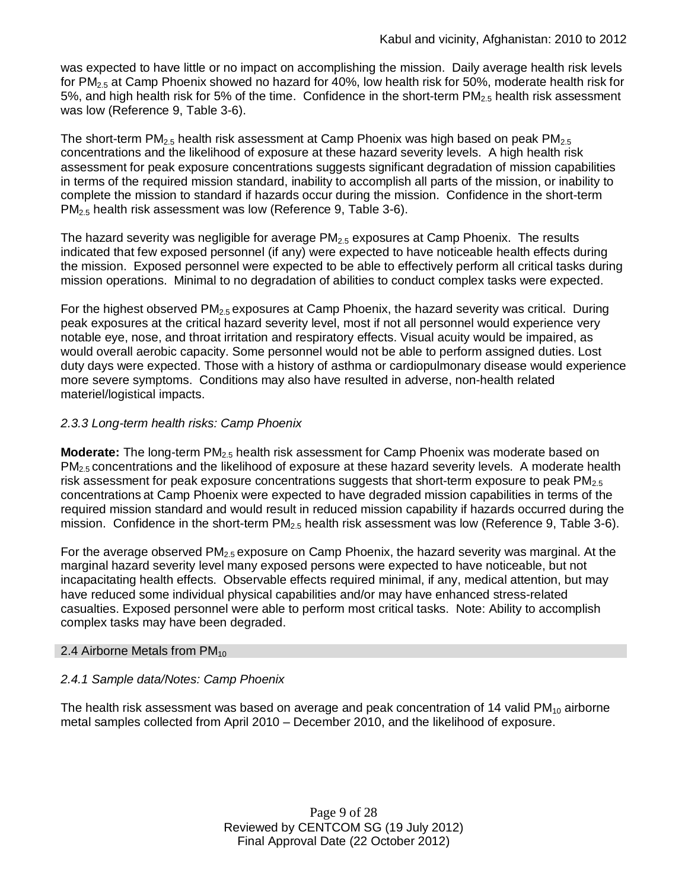was expected to have little or no impact on accomplishing the mission. Daily average health risk levels for PM2.5 at Camp Phoenix showed no hazard for 40%, low health risk for 50%, moderate health risk for 5%, and high health risk for 5% of the time. Confidence in the short-term  $PM_{2.5}$  health risk assessment was low (Reference 9, Table 3-6).

The short-term PM<sub>2.5</sub> health risk assessment at Camp Phoenix was high based on peak PM<sub>2.5</sub> concentrations and the likelihood of exposure at these hazard severity levels. A high health risk assessment for peak exposure concentrations suggests significant degradation of mission capabilities in terms of the required mission standard, inability to accomplish all parts of the mission, or inability to complete the mission to standard if hazards occur during the mission. Confidence in the short-term PM<sub>2.5</sub> health risk assessment was low (Reference 9, Table 3-6).

The hazard severity was negligible for average  $PM_{2.5}$  exposures at Camp Phoenix. The results indicated that few exposed personnel (if any) were expected to have noticeable health effects during the mission. Exposed personnel were expected to be able to effectively perform all critical tasks during mission operations. Minimal to no degradation of abilities to conduct complex tasks were expected.

For the highest observed  $PM<sub>2.5</sub>$  exposures at Camp Phoenix, the hazard severity was critical. During peak exposures at the critical hazard severity level, most if not all personnel would experience very notable eye, nose, and throat irritation and respiratory effects. Visual acuity would be impaired, as would overall aerobic capacity. Some personnel would not be able to perform assigned duties. Lost duty days were expected. Those with a history of asthma or cardiopulmonary disease would experience more severe symptoms. Conditions may also have resulted in adverse, non-health related materiel/logistical impacts.

## *2.3.3 Long-term health risks: Camp Phoenix*

**Moderate:** The long-term PM<sub>2.5</sub> health risk assessment for Camp Phoenix was moderate based on  $PM<sub>2.5</sub>$  concentrations and the likelihood of exposure at these hazard severity levels. A moderate health risk assessment for peak exposure concentrations suggests that short-term exposure to peak  $PM<sub>2.5</sub>$ concentrations at Camp Phoenix were expected to have degraded mission capabilities in terms of the required mission standard and would result in reduced mission capability if hazards occurred during the mission. Confidence in the short-term  $PM_{2.5}$  health risk assessment was low (Reference 9, Table 3-6).

For the average observed  $PM_{2.5}$  exposure on Camp Phoenix, the hazard severity was marginal. At the marginal hazard severity level many exposed persons were expected to have noticeable, but not incapacitating health effects. Observable effects required minimal, if any, medical attention, but may have reduced some individual physical capabilities and/or may have enhanced stress-related casualties. Exposed personnel were able to perform most critical tasks. Note: Ability to accomplish complex tasks may have been degraded.

## 2.4 Airborne Metals from  $PM_{10}$

## *2.4.1 Sample data/Notes: Camp Phoenix*

The health risk assessment was based on average and peak concentration of 14 valid  $PM_{10}$  airborne metal samples collected from April 2010 – December 2010, and the likelihood of exposure.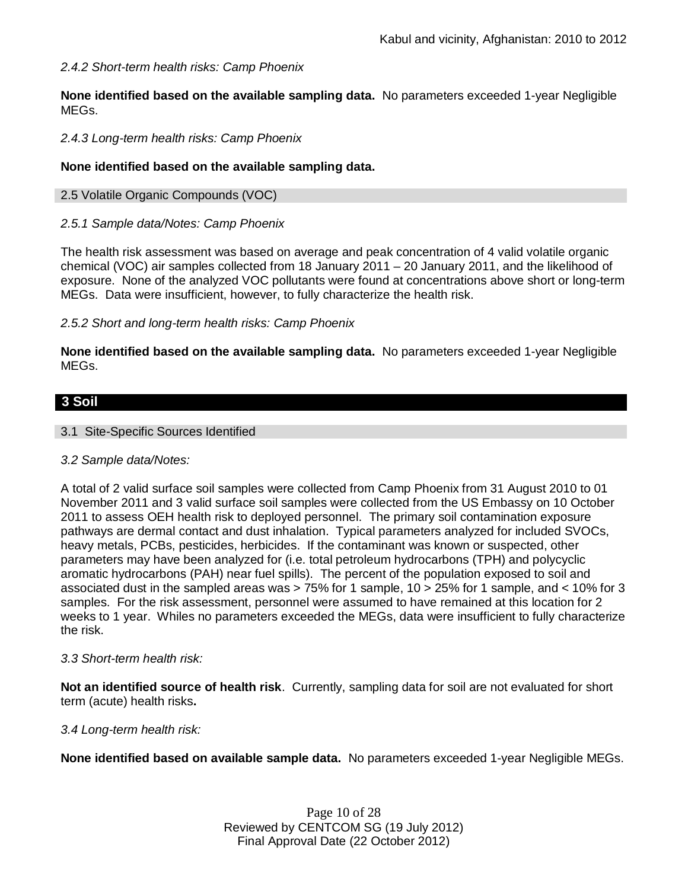## *2.4.2 Short-term health risks: Camp Phoenix*

**None identified based on the available sampling data.** No parameters exceeded 1-year Negligible MEGs.

### *2.4.3 Long-term health risks: Camp Phoenix*

### **None identified based on the available sampling data.**

### 2.5 Volatile Organic Compounds (VOC)

### *2.5.1 Sample data/Notes: Camp Phoenix*

The health risk assessment was based on average and peak concentration of 4 valid volatile organic chemical (VOC) air samples collected from 18 January 2011 – 20 January 2011, and the likelihood of exposure. None of the analyzed VOC pollutants were found at concentrations above short or long-term MEGs. Data were insufficient, however, to fully characterize the health risk.

### *2.5.2 Short and long-term health risks: Camp Phoenix*

**None identified based on the available sampling data.** No parameters exceeded 1-year Negligible MEGs.

## **3 Soil**

### 3.1 Site-Specific Sources Identified

### *3.2 Sample data/Notes:*

A total of 2 valid surface soil samples were collected from Camp Phoenix from 31 August 2010 to 01 November 2011 and 3 valid surface soil samples were collected from the US Embassy on 10 October 2011 to assess OEH health risk to deployed personnel. The primary soil contamination exposure pathways are dermal contact and dust inhalation. Typical parameters analyzed for included SVOCs, heavy metals, PCBs, pesticides, herbicides. If the contaminant was known or suspected, other parameters may have been analyzed for (i.e. total petroleum hydrocarbons (TPH) and polycyclic aromatic hydrocarbons (PAH) near fuel spills). The percent of the population exposed to soil and associated dust in the sampled areas was > 75% for 1 sample, 10 > 25% for 1 sample, and < 10% for 3 samples. For the risk assessment, personnel were assumed to have remained at this location for 2 weeks to 1 year. Whiles no parameters exceeded the MEGs, data were insufficient to fully characterize the risk.

### *3.3 Short-term health risk:*

**Not an identified source of health risk**. Currently, sampling data for soil are not evaluated for short term (acute) health risks**.**

### *3.4 Long-term health risk:*

**None identified based on available sample data.** No parameters exceeded 1-year Negligible MEGs.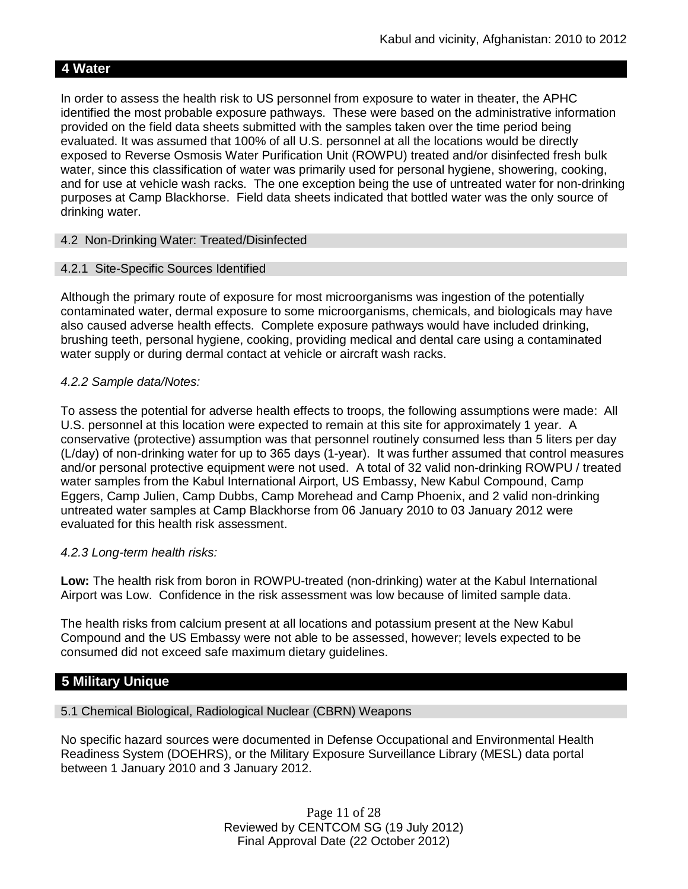## **4 Water**

In order to assess the health risk to US personnel from exposure to water in theater, the APHC identified the most probable exposure pathways. These were based on the administrative information provided on the field data sheets submitted with the samples taken over the time period being evaluated. It was assumed that 100% of all U.S. personnel at all the locations would be directly exposed to Reverse Osmosis Water Purification Unit (ROWPU) treated and/or disinfected fresh bulk water, since this classification of water was primarily used for personal hygiene, showering, cooking, and for use at vehicle wash racks. The one exception being the use of untreated water for non-drinking purposes at Camp Blackhorse. Field data sheets indicated that bottled water was the only source of drinking water.

### 4.2 Non-Drinking Water: Treated/Disinfected

### 4.2.1 Site-Specific Sources Identified

Although the primary route of exposure for most microorganisms was ingestion of the potentially contaminated water, dermal exposure to some microorganisms, chemicals, and biologicals may have also caused adverse health effects. Complete exposure pathways would have included drinking, brushing teeth, personal hygiene, cooking, providing medical and dental care using a contaminated water supply or during dermal contact at vehicle or aircraft wash racks.

### *4.2.2 Sample data/Notes:*

To assess the potential for adverse health effects to troops, the following assumptions were made: All U.S. personnel at this location were expected to remain at this site for approximately 1 year. A conservative (protective) assumption was that personnel routinely consumed less than 5 liters per day (L/day) of non-drinking water for up to 365 days (1-year). It was further assumed that control measures and/or personal protective equipment were not used. A total of 32 valid non-drinking ROWPU / treated water samples from the Kabul International Airport, US Embassy, New Kabul Compound, Camp Eggers, Camp Julien, Camp Dubbs, Camp Morehead and Camp Phoenix, and 2 valid non-drinking untreated water samples at Camp Blackhorse from 06 January 2010 to 03 January 2012 were evaluated for this health risk assessment.

### *4.2.3 Long-term health risks:*

**Low:** The health risk from boron in ROWPU-treated (non-drinking) water at the Kabul International Airport was Low. Confidence in the risk assessment was low because of limited sample data.

The health risks from calcium present at all locations and potassium present at the New Kabul Compound and the US Embassy were not able to be assessed, however; levels expected to be consumed did not exceed safe maximum dietary guidelines.

## **5 Military Unique**

## 5.1 Chemical Biological, Radiological Nuclear (CBRN) Weapons

No specific hazard sources were documented in Defense Occupational and Environmental Health Readiness System (DOEHRS), or the Military Exposure Surveillance Library (MESL) data portal between 1 January 2010 and 3 January 2012.

> Page 11 of 28 Reviewed by CENTCOM SG (19 July 2012) Final Approval Date (22 October 2012)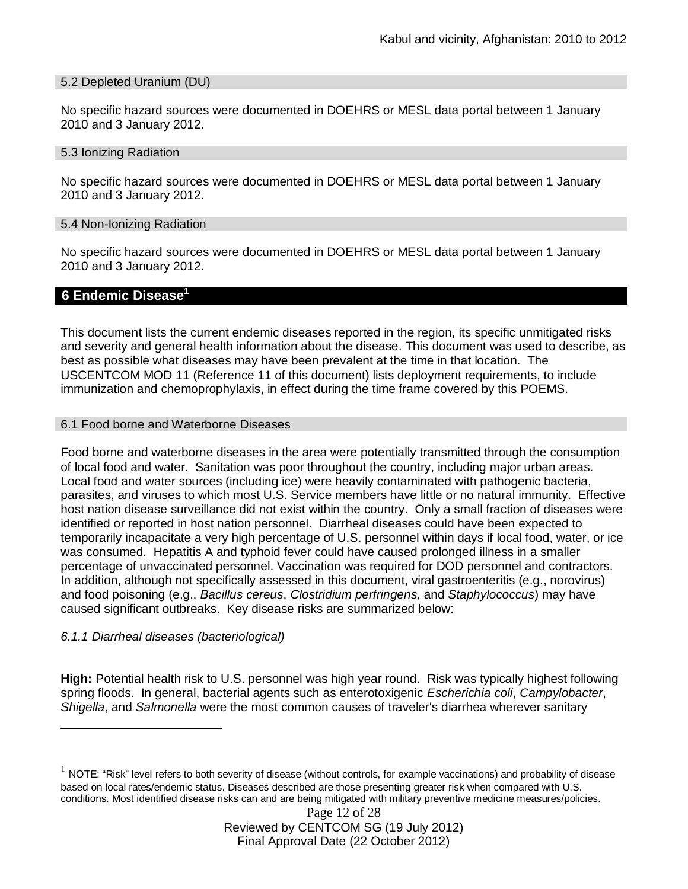#### 5.2 Depleted Uranium (DU)

No specific hazard sources were documented in DOEHRS or MESL data portal between 1 January 2010 and 3 January 2012.

#### 5.3 Ionizing Radiation

No specific hazard sources were documented in DOEHRS or MESL data portal between 1 January 2010 and 3 January 2012.

#### 5.4 Non-Ionizing Radiation

No specific hazard sources were documented in DOEHRS or MESL data portal between 1 January 2010 and 3 January 2012.

### **6 Endemic Disease<sup>1</sup>**

This document lists the current endemic diseases reported in the region, its specific unmitigated risks and severity and general health information about the disease. This document was used to describe, as best as possible what diseases may have been prevalent at the time in that location. The USCENTCOM MOD 11 (Reference 11 of this document) lists deployment requirements, to include immunization and chemoprophylaxis, in effect during the time frame covered by this POEMS.

#### 6.1 Food borne and Waterborne Diseases

Food borne and waterborne diseases in the area were potentially transmitted through the consumption of local food and water. Sanitation was poor throughout the country, including major urban areas. Local food and water sources (including ice) were heavily contaminated with pathogenic bacteria, parasites, and viruses to which most U.S. Service members have little or no natural immunity. Effective host nation disease surveillance did not exist within the country. Only a small fraction of diseases were identified or reported in host nation personnel. Diarrheal diseases could have been expected to temporarily incapacitate a very high percentage of U.S. personnel within days if local food, water, or ice was consumed. Hepatitis A and typhoid fever could have caused prolonged illness in a smaller percentage of unvaccinated personnel. Vaccination was required for DOD personnel and contractors. In addition, although not specifically assessed in this document, viral gastroenteritis (e.g., norovirus) and food poisoning (e.g., *Bacillus cereus*, *Clostridium perfringens*, and *Staphylococcus*) may have caused significant outbreaks. Key disease risks are summarized below:

### *6.1.1 Diarrheal diseases (bacteriological)*

**High:** Potential health risk to U.S. personnel was high year round. Risk was typically highest following spring floods. In general, bacterial agents such as enterotoxigenic *Escherichia coli*, *Campylobacter*, *Shigella*, and *Salmonella* were the most common causes of traveler's diarrhea wherever sanitary

 $^1$  NOTE: "Risk" level refers to both severity of disease (without controls, for example vaccinations) and probability of disease based on local rates/endemic status. Diseases described are those presenting greater risk when compared with U.S. conditions. Most identified disease risks can and are being mitigated with military preventive medicine measures/policies.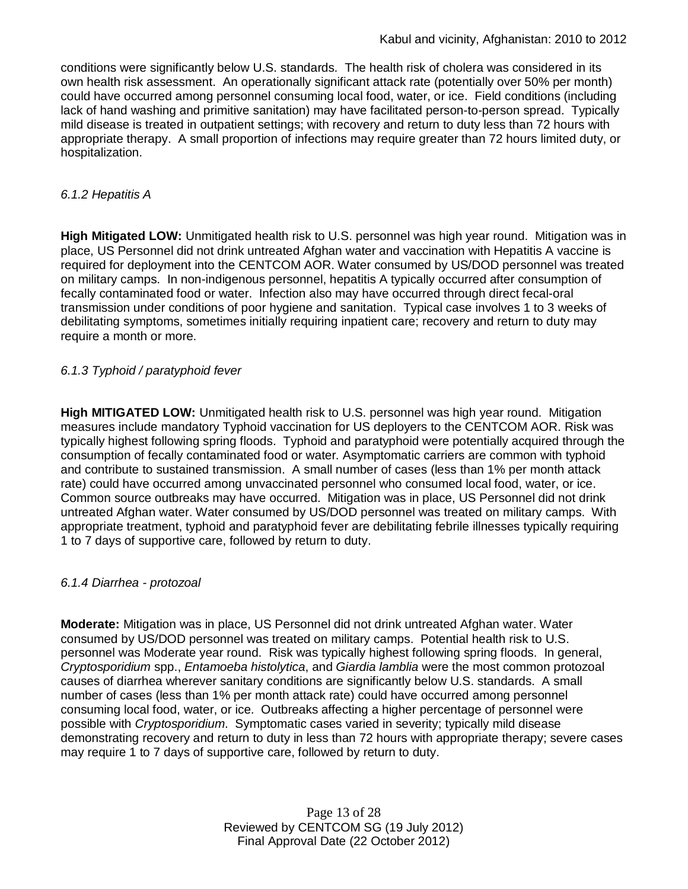conditions were significantly below U.S. standards. The health risk of cholera was considered in its own health risk assessment. An operationally significant attack rate (potentially over 50% per month) could have occurred among personnel consuming local food, water, or ice. Field conditions (including lack of hand washing and primitive sanitation) may have facilitated person-to-person spread. Typically mild disease is treated in outpatient settings; with recovery and return to duty less than 72 hours with appropriate therapy. A small proportion of infections may require greater than 72 hours limited duty, or hospitalization.

## *6.1.2 Hepatitis A*

**High Mitigated LOW:** Unmitigated health risk to U.S. personnel was high year round. Mitigation was in place, US Personnel did not drink untreated Afghan water and vaccination with Hepatitis A vaccine is required for deployment into the CENTCOM AOR. Water consumed by US/DOD personnel was treated on military camps. In non-indigenous personnel, hepatitis A typically occurred after consumption of fecally contaminated food or water. Infection also may have occurred through direct fecal-oral transmission under conditions of poor hygiene and sanitation. Typical case involves 1 to 3 weeks of debilitating symptoms, sometimes initially requiring inpatient care; recovery and return to duty may require a month or more.

## *6.1.3 Typhoid / paratyphoid fever*

**High MITIGATED LOW:** Unmitigated health risk to U.S. personnel was high year round. Mitigation measures include mandatory Typhoid vaccination for US deployers to the CENTCOM AOR. Risk was typically highest following spring floods. Typhoid and paratyphoid were potentially acquired through the consumption of fecally contaminated food or water. Asymptomatic carriers are common with typhoid and contribute to sustained transmission. A small number of cases (less than 1% per month attack rate) could have occurred among unvaccinated personnel who consumed local food, water, or ice. Common source outbreaks may have occurred. Mitigation was in place, US Personnel did not drink untreated Afghan water. Water consumed by US/DOD personnel was treated on military camps. With appropriate treatment, typhoid and paratyphoid fever are debilitating febrile illnesses typically requiring 1 to 7 days of supportive care, followed by return to duty.

## *6.1.4 Diarrhea - protozoal*

**Moderate:** Mitigation was in place, US Personnel did not drink untreated Afghan water. Water consumed by US/DOD personnel was treated on military camps. Potential health risk to U.S. personnel was Moderate year round. Risk was typically highest following spring floods. In general, *Cryptosporidium* spp., *Entamoeba histolytica*, and *Giardia lamblia* were the most common protozoal causes of diarrhea wherever sanitary conditions are significantly below U.S. standards. A small number of cases (less than 1% per month attack rate) could have occurred among personnel consuming local food, water, or ice. Outbreaks affecting a higher percentage of personnel were possible with *Cryptosporidium*. Symptomatic cases varied in severity; typically mild disease demonstrating recovery and return to duty in less than 72 hours with appropriate therapy; severe cases may require 1 to 7 days of supportive care, followed by return to duty.

> Page 13 of 28 Reviewed by CENTCOM SG (19 July 2012) Final Approval Date (22 October 2012)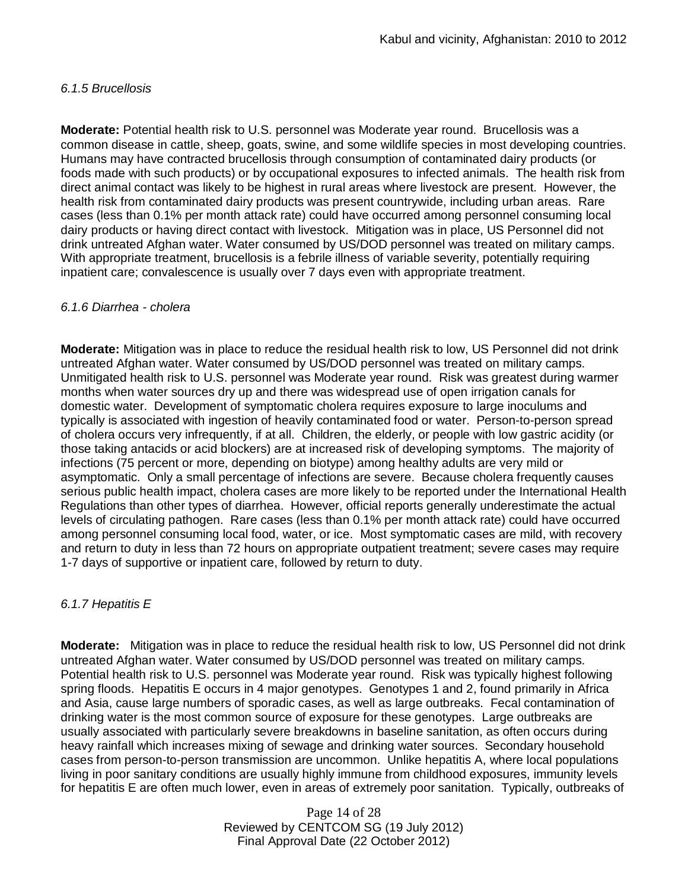### *6.1.5 Brucellosis*

**Moderate:** Potential health risk to U.S. personnel was Moderate year round. Brucellosis was a common disease in cattle, sheep, goats, swine, and some wildlife species in most developing countries. Humans may have contracted brucellosis through consumption of contaminated dairy products (or foods made with such products) or by occupational exposures to infected animals. The health risk from direct animal contact was likely to be highest in rural areas where livestock are present. However, the health risk from contaminated dairy products was present countrywide, including urban areas. Rare cases (less than 0.1% per month attack rate) could have occurred among personnel consuming local dairy products or having direct contact with livestock. Mitigation was in place, US Personnel did not drink untreated Afghan water. Water consumed by US/DOD personnel was treated on military camps. With appropriate treatment, brucellosis is a febrile illness of variable severity, potentially requiring inpatient care; convalescence is usually over 7 days even with appropriate treatment.

### *6.1.6 Diarrhea - cholera*

**Moderate:** Mitigation was in place to reduce the residual health risk to low, US Personnel did not drink untreated Afghan water. Water consumed by US/DOD personnel was treated on military camps. Unmitigated health risk to U.S. personnel was Moderate year round. Risk was greatest during warmer months when water sources dry up and there was widespread use of open irrigation canals for domestic water. Development of symptomatic cholera requires exposure to large inoculums and typically is associated with ingestion of heavily contaminated food or water. Person-to-person spread of cholera occurs very infrequently, if at all. Children, the elderly, or people with low gastric acidity (or those taking antacids or acid blockers) are at increased risk of developing symptoms. The majority of infections (75 percent or more, depending on biotype) among healthy adults are very mild or asymptomatic. Only a small percentage of infections are severe. Because cholera frequently causes serious public health impact, cholera cases are more likely to be reported under the International Health Regulations than other types of diarrhea. However, official reports generally underestimate the actual levels of circulating pathogen. Rare cases (less than 0.1% per month attack rate) could have occurred among personnel consuming local food, water, or ice. Most symptomatic cases are mild, with recovery and return to duty in less than 72 hours on appropriate outpatient treatment; severe cases may require 1-7 days of supportive or inpatient care, followed by return to duty.

## *6.1.7 Hepatitis E*

**Moderate:** Mitigation was in place to reduce the residual health risk to low, US Personnel did not drink untreated Afghan water. Water consumed by US/DOD personnel was treated on military camps. Potential health risk to U.S. personnel was Moderate year round. Risk was typically highest following spring floods. Hepatitis E occurs in 4 major genotypes. Genotypes 1 and 2, found primarily in Africa and Asia, cause large numbers of sporadic cases, as well as large outbreaks. Fecal contamination of drinking water is the most common source of exposure for these genotypes. Large outbreaks are usually associated with particularly severe breakdowns in baseline sanitation, as often occurs during heavy rainfall which increases mixing of sewage and drinking water sources. Secondary household cases from person-to-person transmission are uncommon. Unlike hepatitis A, where local populations living in poor sanitary conditions are usually highly immune from childhood exposures, immunity levels for hepatitis E are often much lower, even in areas of extremely poor sanitation. Typically, outbreaks of

> Page 14 of 28 Reviewed by CENTCOM SG (19 July 2012) Final Approval Date (22 October 2012)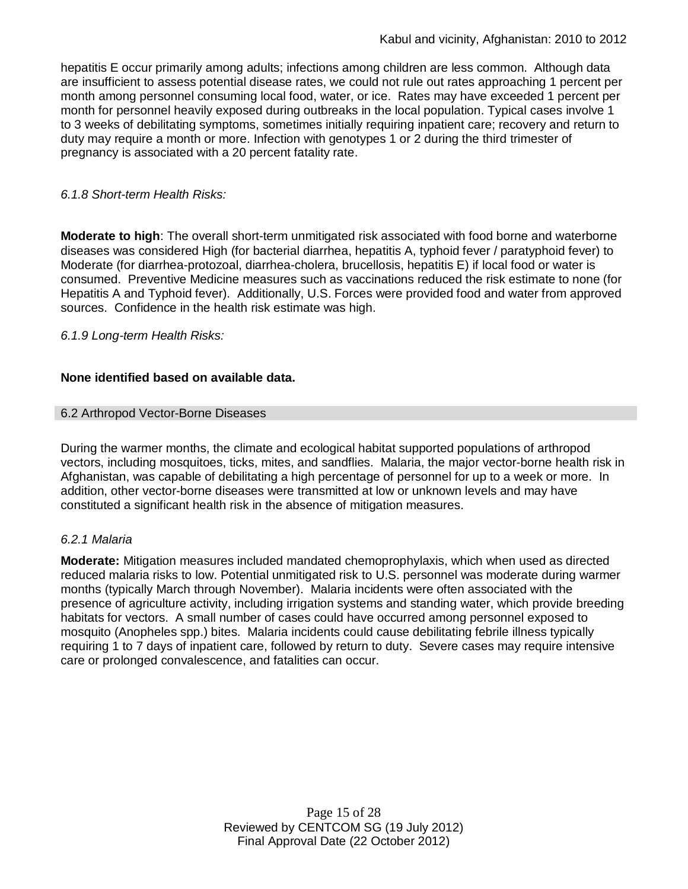hepatitis E occur primarily among adults; infections among children are less common. Although data are insufficient to assess potential disease rates, we could not rule out rates approaching 1 percent per month among personnel consuming local food, water, or ice. Rates may have exceeded 1 percent per month for personnel heavily exposed during outbreaks in the local population. Typical cases involve 1 to 3 weeks of debilitating symptoms, sometimes initially requiring inpatient care; recovery and return to duty may require a month or more. Infection with genotypes 1 or 2 during the third trimester of pregnancy is associated with a 20 percent fatality rate.

## *6.1.8 Short-term Health Risks:*

**Moderate to high**: The overall short-term unmitigated risk associated with food borne and waterborne diseases was considered High (for bacterial diarrhea, hepatitis A, typhoid fever / paratyphoid fever) to Moderate (for diarrhea-protozoal, diarrhea-cholera, brucellosis, hepatitis E) if local food or water is consumed. Preventive Medicine measures such as vaccinations reduced the risk estimate to none (for Hepatitis A and Typhoid fever). Additionally, U.S. Forces were provided food and water from approved sources. Confidence in the health risk estimate was high.

## *6.1.9 Long-term Health Risks:*

## **None identified based on available data.**

## 6.2 Arthropod Vector-Borne Diseases

During the warmer months, the climate and ecological habitat supported populations of arthropod vectors, including mosquitoes, ticks, mites, and sandflies. Malaria, the major vector-borne health risk in Afghanistan, was capable of debilitating a high percentage of personnel for up to a week or more. In addition, other vector-borne diseases were transmitted at low or unknown levels and may have constituted a significant health risk in the absence of mitigation measures.

## *6.2.1 Malaria*

**Moderate:** Mitigation measures included mandated chemoprophylaxis, which when used as directed reduced malaria risks to low. Potential unmitigated risk to U.S. personnel was moderate during warmer months (typically March through November). Malaria incidents were often associated with the presence of agriculture activity, including irrigation systems and standing water, which provide breeding habitats for vectors. A small number of cases could have occurred among personnel exposed to mosquito (Anopheles spp.) bites. Malaria incidents could cause debilitating febrile illness typically requiring 1 to 7 days of inpatient care, followed by return to duty. Severe cases may require intensive care or prolonged convalescence, and fatalities can occur.

> Page 15 of 28 Reviewed by CENTCOM SG (19 July 2012) Final Approval Date (22 October 2012)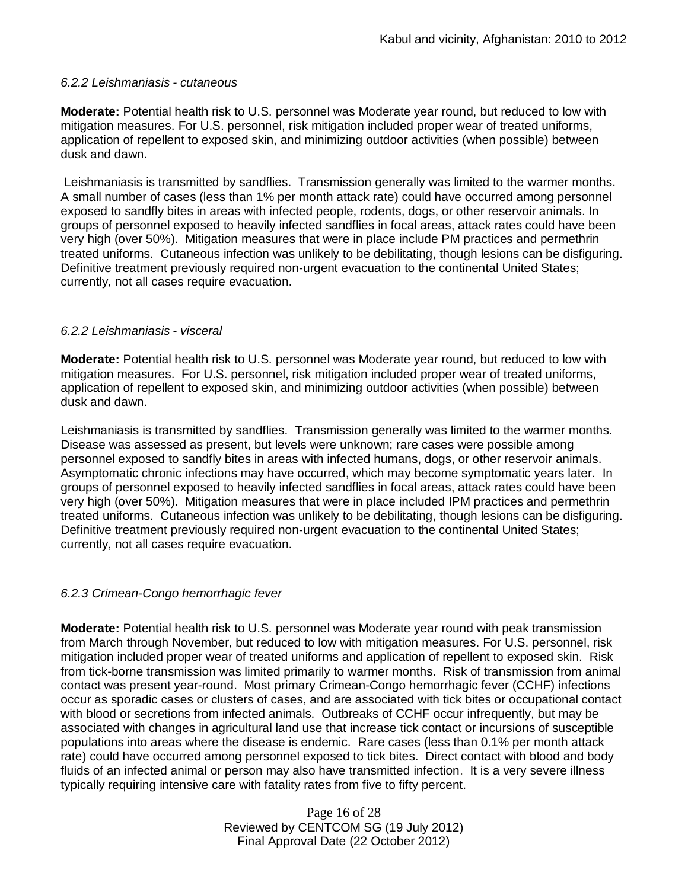### *6.2.2 Leishmaniasis - cutaneous*

**Moderate:** Potential health risk to U.S. personnel was Moderate year round, but reduced to low with mitigation measures. For U.S. personnel, risk mitigation included proper wear of treated uniforms, application of repellent to exposed skin, and minimizing outdoor activities (when possible) between dusk and dawn.

Leishmaniasis is transmitted by sandflies. Transmission generally was limited to the warmer months. A small number of cases (less than 1% per month attack rate) could have occurred among personnel exposed to sandfly bites in areas with infected people, rodents, dogs, or other reservoir animals. In groups of personnel exposed to heavily infected sandflies in focal areas, attack rates could have been very high (over 50%). Mitigation measures that were in place include PM practices and permethrin treated uniforms. Cutaneous infection was unlikely to be debilitating, though lesions can be disfiguring. Definitive treatment previously required non-urgent evacuation to the continental United States; currently, not all cases require evacuation.

### *6.2.2 Leishmaniasis - visceral*

**Moderate:** Potential health risk to U.S. personnel was Moderate year round, but reduced to low with mitigation measures. For U.S. personnel, risk mitigation included proper wear of treated uniforms, application of repellent to exposed skin, and minimizing outdoor activities (when possible) between dusk and dawn.

Leishmaniasis is transmitted by sandflies. Transmission generally was limited to the warmer months. Disease was assessed as present, but levels were unknown; rare cases were possible among personnel exposed to sandfly bites in areas with infected humans, dogs, or other reservoir animals. Asymptomatic chronic infections may have occurred, which may become symptomatic years later. In groups of personnel exposed to heavily infected sandflies in focal areas, attack rates could have been very high (over 50%). Mitigation measures that were in place included IPM practices and permethrin treated uniforms. Cutaneous infection was unlikely to be debilitating, though lesions can be disfiguring. Definitive treatment previously required non-urgent evacuation to the continental United States; currently, not all cases require evacuation.

## *6.2.3 Crimean-Congo hemorrhagic fever*

**Moderate:** Potential health risk to U.S. personnel was Moderate year round with peak transmission from March through November, but reduced to low with mitigation measures. For U.S. personnel, risk mitigation included proper wear of treated uniforms and application of repellent to exposed skin. Risk from tick-borne transmission was limited primarily to warmer months. Risk of transmission from animal contact was present year-round. Most primary Crimean-Congo hemorrhagic fever (CCHF) infections occur as sporadic cases or clusters of cases, and are associated with tick bites or occupational contact with blood or secretions from infected animals. Outbreaks of CCHF occur infrequently, but may be associated with changes in agricultural land use that increase tick contact or incursions of susceptible populations into areas where the disease is endemic. Rare cases (less than 0.1% per month attack rate) could have occurred among personnel exposed to tick bites. Direct contact with blood and body fluids of an infected animal or person may also have transmitted infection. It is a very severe illness typically requiring intensive care with fatality rates from five to fifty percent.

> Page 16 of 28 Reviewed by CENTCOM SG (19 July 2012) Final Approval Date (22 October 2012)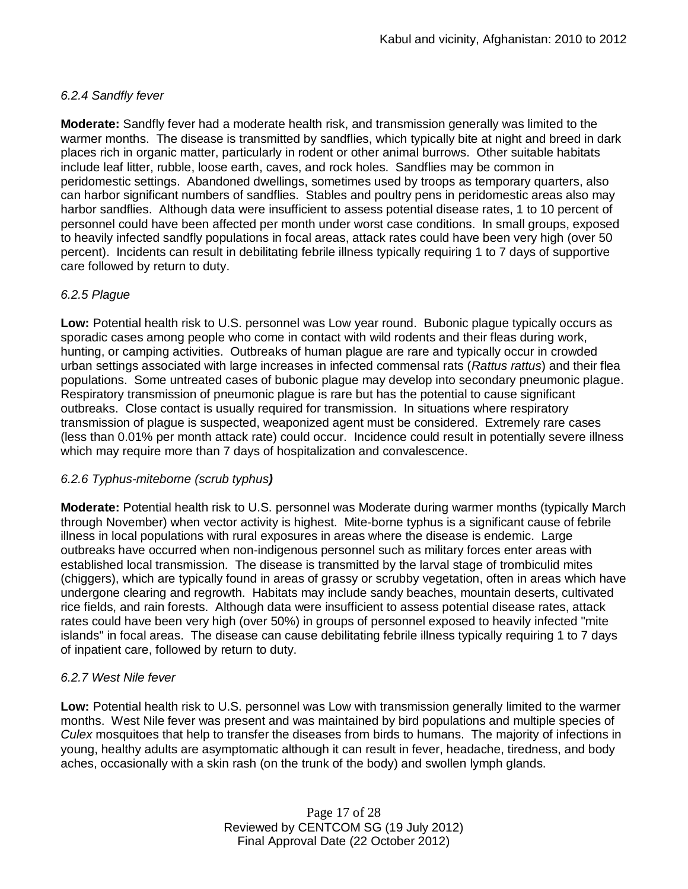## *6.2.4 Sandfly fever*

**Moderate:** Sandfly fever had a moderate health risk, and transmission generally was limited to the warmer months. The disease is transmitted by sandflies, which typically bite at night and breed in dark places rich in organic matter, particularly in rodent or other animal burrows. Other suitable habitats include leaf litter, rubble, loose earth, caves, and rock holes. Sandflies may be common in peridomestic settings. Abandoned dwellings, sometimes used by troops as temporary quarters, also can harbor significant numbers of sandflies. Stables and poultry pens in peridomestic areas also may harbor sandflies. Although data were insufficient to assess potential disease rates, 1 to 10 percent of personnel could have been affected per month under worst case conditions. In small groups, exposed to heavily infected sandfly populations in focal areas, attack rates could have been very high (over 50 percent). Incidents can result in debilitating febrile illness typically requiring 1 to 7 days of supportive care followed by return to duty.

## *6.2.5 Plague*

**Low:** Potential health risk to U.S. personnel was Low year round. Bubonic plague typically occurs as sporadic cases among people who come in contact with wild rodents and their fleas during work, hunting, or camping activities. Outbreaks of human plague are rare and typically occur in crowded urban settings associated with large increases in infected commensal rats (*Rattus rattus*) and their flea populations. Some untreated cases of bubonic plague may develop into secondary pneumonic plague. Respiratory transmission of pneumonic plague is rare but has the potential to cause significant outbreaks. Close contact is usually required for transmission. In situations where respiratory transmission of plague is suspected, weaponized agent must be considered. Extremely rare cases (less than 0.01% per month attack rate) could occur. Incidence could result in potentially severe illness which may require more than 7 days of hospitalization and convalescence.

## *6.2.6 Typhus-miteborne (scrub typhus)*

**Moderate:** Potential health risk to U.S. personnel was Moderate during warmer months (typically March through November) when vector activity is highest. Mite-borne typhus is a significant cause of febrile illness in local populations with rural exposures in areas where the disease is endemic. Large outbreaks have occurred when non-indigenous personnel such as military forces enter areas with established local transmission. The disease is transmitted by the larval stage of trombiculid mites (chiggers), which are typically found in areas of grassy or scrubby vegetation, often in areas which have undergone clearing and regrowth. Habitats may include sandy beaches, mountain deserts, cultivated rice fields, and rain forests. Although data were insufficient to assess potential disease rates, attack rates could have been very high (over 50%) in groups of personnel exposed to heavily infected "mite islands" in focal areas. The disease can cause debilitating febrile illness typically requiring 1 to 7 days of inpatient care, followed by return to duty.

## *6.2.7 West Nile fever*

**Low:** Potential health risk to U.S. personnel was Low with transmission generally limited to the warmer months. West Nile fever was present and was maintained by bird populations and multiple species of *Culex* mosquitoes that help to transfer the diseases from birds to humans. The majority of infections in young, healthy adults are asymptomatic although it can result in fever, headache, tiredness, and body aches, occasionally with a skin rash (on the trunk of the body) and swollen lymph glands.

> Page 17 of 28 Reviewed by CENTCOM SG (19 July 2012) Final Approval Date (22 October 2012)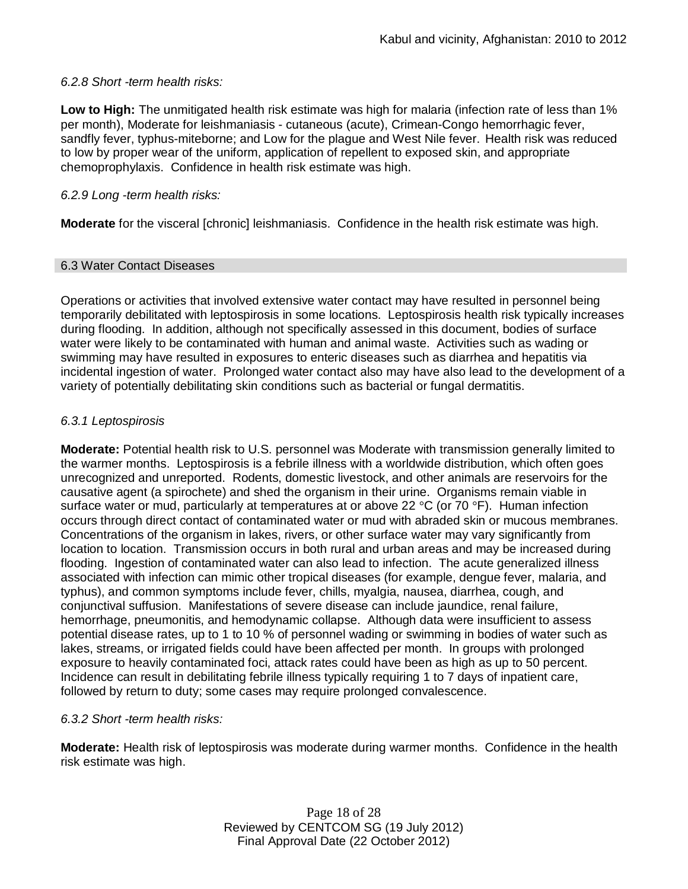### *6.2.8 Short -term health risks:*

**Low to High:** The unmitigated health risk estimate was high for malaria (infection rate of less than 1% per month), Moderate for leishmaniasis - cutaneous (acute), Crimean-Congo hemorrhagic fever, sandfly fever, typhus-miteborne; and Low for the plague and West Nile fever. Health risk was reduced to low by proper wear of the uniform, application of repellent to exposed skin, and appropriate chemoprophylaxis. Confidence in health risk estimate was high.

### *6.2.9 Long -term health risks:*

**Moderate** for the visceral [chronic] leishmaniasis. Confidence in the health risk estimate was high.

### 6.3 Water Contact Diseases

Operations or activities that involved extensive water contact may have resulted in personnel being temporarily debilitated with leptospirosis in some locations. Leptospirosis health risk typically increases during flooding. In addition, although not specifically assessed in this document, bodies of surface water were likely to be contaminated with human and animal waste. Activities such as wading or swimming may have resulted in exposures to enteric diseases such as diarrhea and hepatitis via incidental ingestion of water. Prolonged water contact also may have also lead to the development of a variety of potentially debilitating skin conditions such as bacterial or fungal dermatitis.

### *6.3.1 Leptospirosis*

**Moderate:** Potential health risk to U.S. personnel was Moderate with transmission generally limited to the warmer months. Leptospirosis is a febrile illness with a worldwide distribution, which often goes unrecognized and unreported. Rodents, domestic livestock, and other animals are reservoirs for the causative agent (a spirochete) and shed the organism in their urine. Organisms remain viable in surface water or mud, particularly at temperatures at or above 22 °C (or 70 °F). Human infection occurs through direct contact of contaminated water or mud with abraded skin or mucous membranes. Concentrations of the organism in lakes, rivers, or other surface water may vary significantly from location to location. Transmission occurs in both rural and urban areas and may be increased during flooding. Ingestion of contaminated water can also lead to infection. The acute generalized illness associated with infection can mimic other tropical diseases (for example, dengue fever, malaria, and typhus), and common symptoms include fever, chills, myalgia, nausea, diarrhea, cough, and conjunctival suffusion. Manifestations of severe disease can include jaundice, renal failure, hemorrhage, pneumonitis, and hemodynamic collapse. Although data were insufficient to assess potential disease rates, up to 1 to 10 % of personnel wading or swimming in bodies of water such as lakes, streams, or irrigated fields could have been affected per month. In groups with prolonged exposure to heavily contaminated foci, attack rates could have been as high as up to 50 percent. Incidence can result in debilitating febrile illness typically requiring 1 to 7 days of inpatient care, followed by return to duty; some cases may require prolonged convalescence.

## *6.3.2 Short -term health risks:*

**Moderate:** Health risk of leptospirosis was moderate during warmer months. Confidence in the health risk estimate was high.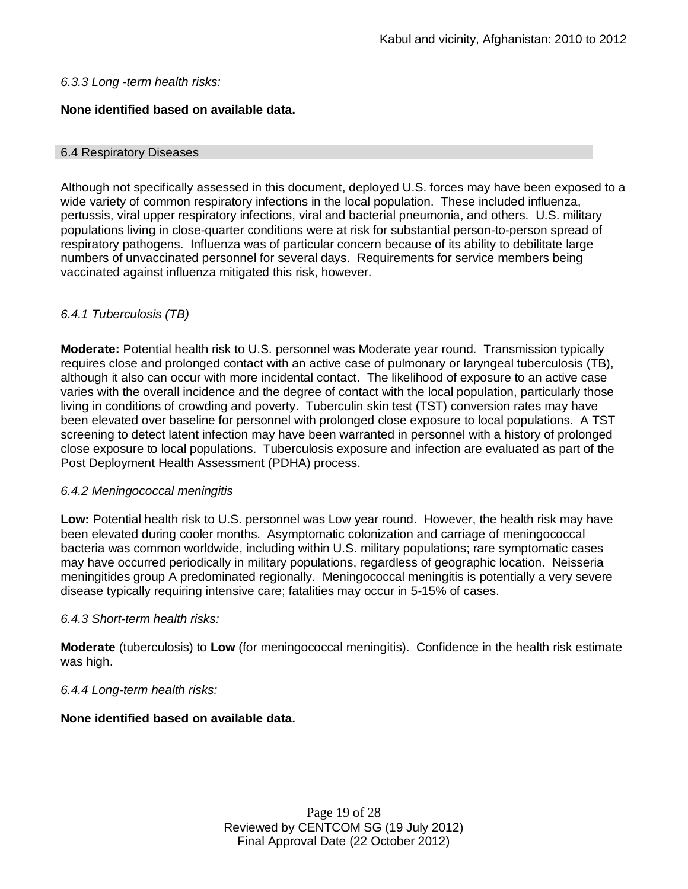### *6.3.3 Long -term health risks:*

## **None identified based on available data.**

### 6.4 Respiratory Diseases

Although not specifically assessed in this document, deployed U.S. forces may have been exposed to a wide variety of common respiratory infections in the local population. These included influenza, pertussis, viral upper respiratory infections, viral and bacterial pneumonia, and others. U.S. military populations living in close-quarter conditions were at risk for substantial person-to-person spread of respiratory pathogens. Influenza was of particular concern because of its ability to debilitate large numbers of unvaccinated personnel for several days. Requirements for service members being vaccinated against influenza mitigated this risk, however.

## *6.4.1 Tuberculosis (TB)*

**Moderate:** Potential health risk to U.S. personnel was Moderate year round. Transmission typically requires close and prolonged contact with an active case of pulmonary or laryngeal tuberculosis (TB), although it also can occur with more incidental contact. The likelihood of exposure to an active case varies with the overall incidence and the degree of contact with the local population, particularly those living in conditions of crowding and poverty. Tuberculin skin test (TST) conversion rates may have been elevated over baseline for personnel with prolonged close exposure to local populations. A TST screening to detect latent infection may have been warranted in personnel with a history of prolonged close exposure to local populations. Tuberculosis exposure and infection are evaluated as part of the Post Deployment Health Assessment (PDHA) process.

## *6.4.2 Meningococcal meningitis*

**Low:** Potential health risk to U.S. personnel was Low year round. However, the health risk may have been elevated during cooler months. Asymptomatic colonization and carriage of meningococcal bacteria was common worldwide, including within U.S. military populations; rare symptomatic cases may have occurred periodically in military populations, regardless of geographic location. Neisseria meningitides group A predominated regionally. Meningococcal meningitis is potentially a very severe disease typically requiring intensive care; fatalities may occur in 5-15% of cases.

## *6.4.3 Short-term health risks:*

**Moderate** (tuberculosis) to **Low** (for meningococcal meningitis). Confidence in the health risk estimate was high.

## *6.4.4 Long-term health risks:*

## **None identified based on available data.**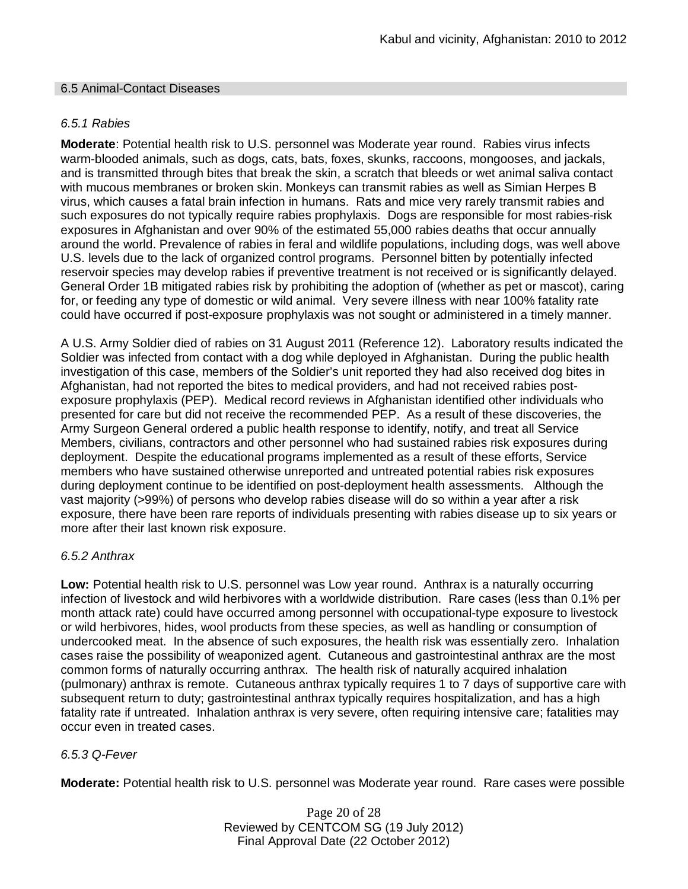### 6.5 Animal-Contact Diseases

## *6.5.1 Rabies*

**Moderate**: Potential health risk to U.S. personnel was Moderate year round. Rabies virus infects warm-blooded animals, such as dogs, cats, bats, foxes, skunks, raccoons, mongooses, and jackals, and is transmitted through bites that break the skin, a scratch that bleeds or wet animal saliva contact with mucous membranes or broken skin. Monkeys can transmit rabies as well as Simian Herpes B virus, which causes a fatal brain infection in humans. Rats and mice very rarely transmit rabies and such exposures do not typically require rabies prophylaxis. Dogs are responsible for most rabies-risk exposures in Afghanistan and over 90% of the estimated 55,000 rabies deaths that occur annually around the world. Prevalence of rabies in feral and wildlife populations, including dogs, was well above U.S. levels due to the lack of organized control programs. Personnel bitten by potentially infected reservoir species may develop rabies if preventive treatment is not received or is significantly delayed. General Order 1B mitigated rabies risk by prohibiting the adoption of (whether as pet or mascot), caring for, or feeding any type of domestic or wild animal. Very severe illness with near 100% fatality rate could have occurred if post-exposure prophylaxis was not sought or administered in a timely manner.

A U.S. Army Soldier died of rabies on 31 August 2011 (Reference 12). Laboratory results indicated the Soldier was infected from contact with a dog while deployed in Afghanistan. During the public health investigation of this case, members of the Soldier's unit reported they had also received dog bites in Afghanistan, had not reported the bites to medical providers, and had not received rabies postexposure prophylaxis (PEP). Medical record reviews in Afghanistan identified other individuals who presented for care but did not receive the recommended PEP. As a result of these discoveries, the Army Surgeon General ordered a public health response to identify, notify, and treat all Service Members, civilians, contractors and other personnel who had sustained rabies risk exposures during deployment. Despite the educational programs implemented as a result of these efforts, Service members who have sustained otherwise unreported and untreated potential rabies risk exposures during deployment continue to be identified on post-deployment health assessments. Although the vast majority (>99%) of persons who develop rabies disease will do so within a year after a risk exposure, there have been rare reports of individuals presenting with rabies disease up to six years or more after their last known risk exposure.

## *6.5.2 Anthrax*

**Low:** Potential health risk to U.S. personnel was Low year round. Anthrax is a naturally occurring infection of livestock and wild herbivores with a worldwide distribution. Rare cases (less than 0.1% per month attack rate) could have occurred among personnel with occupational-type exposure to livestock or wild herbivores, hides, wool products from these species, as well as handling or consumption of undercooked meat. In the absence of such exposures, the health risk was essentially zero. Inhalation cases raise the possibility of weaponized agent. Cutaneous and gastrointestinal anthrax are the most common forms of naturally occurring anthrax. The health risk of naturally acquired inhalation (pulmonary) anthrax is remote. Cutaneous anthrax typically requires 1 to 7 days of supportive care with subsequent return to duty; gastrointestinal anthrax typically requires hospitalization, and has a high fatality rate if untreated. Inhalation anthrax is very severe, often requiring intensive care; fatalities may occur even in treated cases.

## *6.5.3 Q-Fever*

**Moderate:** Potential health risk to U.S. personnel was Moderate year round. Rare cases were possible

Page 20 of 28 Reviewed by CENTCOM SG (19 July 2012) Final Approval Date (22 October 2012)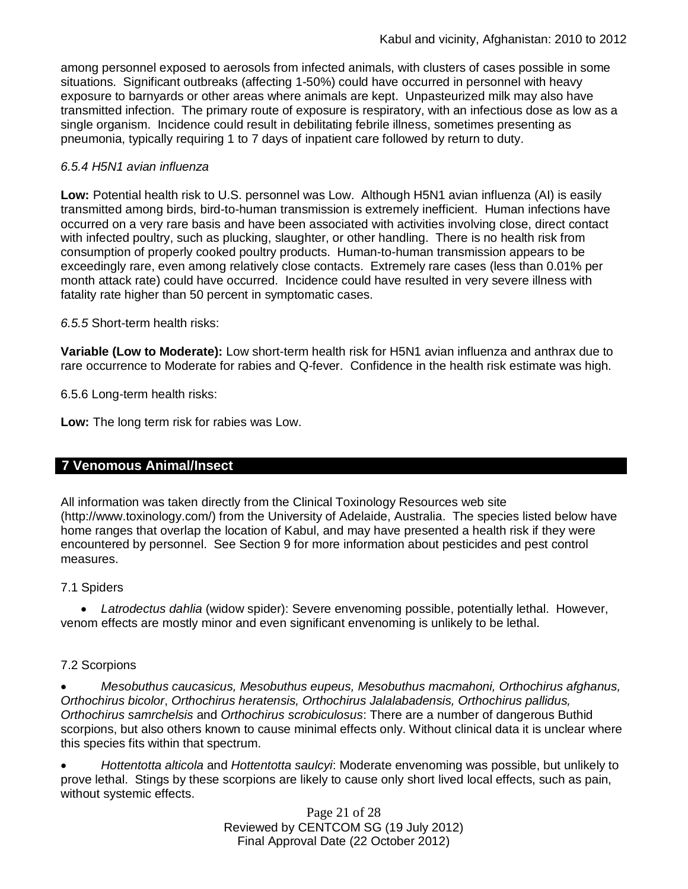among personnel exposed to aerosols from infected animals, with clusters of cases possible in some situations. Significant outbreaks (affecting 1-50%) could have occurred in personnel with heavy exposure to barnyards or other areas where animals are kept. Unpasteurized milk may also have transmitted infection. The primary route of exposure is respiratory, with an infectious dose as low as a single organism. Incidence could result in debilitating febrile illness, sometimes presenting as pneumonia, typically requiring 1 to 7 days of inpatient care followed by return to duty.

## *6.5.4 H5N1 avian influenza*

**Low:** Potential health risk to U.S. personnel was Low. Although H5N1 avian influenza (AI) is easily transmitted among birds, bird-to-human transmission is extremely inefficient. Human infections have occurred on a very rare basis and have been associated with activities involving close, direct contact with infected poultry, such as plucking, slaughter, or other handling. There is no health risk from consumption of properly cooked poultry products. Human-to-human transmission appears to be exceedingly rare, even among relatively close contacts. Extremely rare cases (less than 0.01% per month attack rate) could have occurred. Incidence could have resulted in very severe illness with fatality rate higher than 50 percent in symptomatic cases.

*6.5.5* Short-term health risks:

**Variable (Low to Moderate):** Low short-term health risk for H5N1 avian influenza and anthrax due to rare occurrence to Moderate for rabies and Q-fever. Confidence in the health risk estimate was high.

6.5.6 Long-term health risks:

**Low:** The long term risk for rabies was Low.

## **7 Venomous Animal/Insect**

All information was taken directly from the Clinical Toxinology Resources web site (http://www.toxinology.com/) from the University of Adelaide, Australia. The species listed below have home ranges that overlap the location of Kabul, and may have presented a health risk if they were encountered by personnel. See Section 9 for more information about pesticides and pest control measures.

## 7.1 Spiders

 *Latrodectus dahlia* (widow spider): Severe envenoming possible, potentially lethal. However, venom effects are mostly minor and even significant envenoming is unlikely to be lethal.

### 7.2 Scorpions

 *Mesobuthus caucasicus, Mesobuthus eupeus, Mesobuthus macmahoni, Orthochirus afghanus, Orthochirus bicolor*, *Orthochirus heratensis, Orthochirus Jalalabadensis, Orthochirus pallidus, Orthochirus samrchelsis* and *Orthochirus scrobiculosus*: There are a number of dangerous Buthid scorpions, but also others known to cause minimal effects only. Without clinical data it is unclear where this species fits within that spectrum.

 *Hottentotta alticola* and *Hottentotta saulcyi*: Moderate envenoming was possible, but unlikely to prove lethal. Stings by these scorpions are likely to cause only short lived local effects, such as pain, without systemic effects.

> Page 21 of 28 Reviewed by CENTCOM SG (19 July 2012) Final Approval Date (22 October 2012)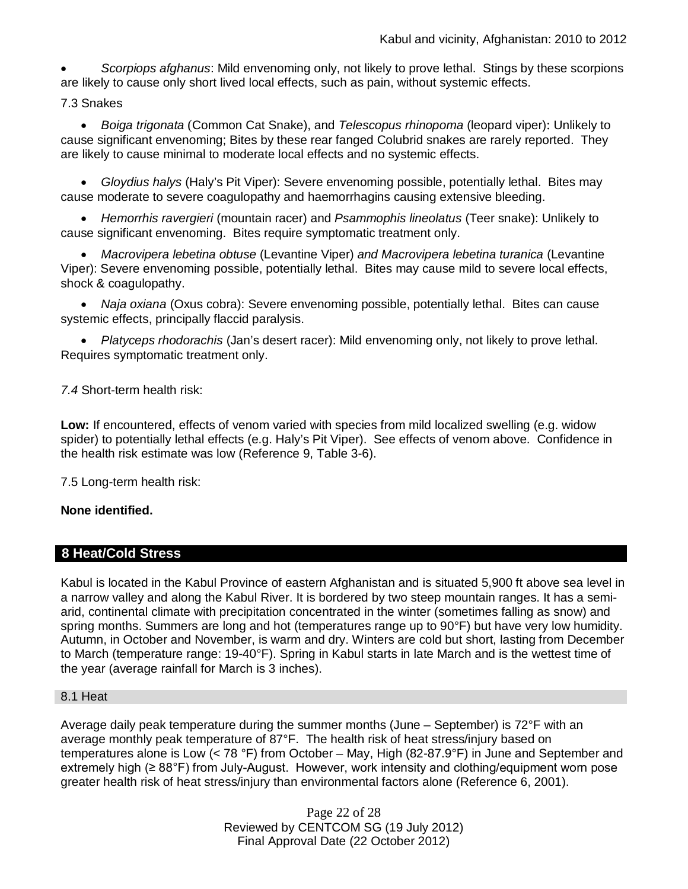*Scorpiops afghanus*: Mild envenoming only, not likely to prove lethal. Stings by these scorpions are likely to cause only short lived local effects, such as pain, without systemic effects.

7.3 Snakes

 *Boiga trigonata* (Common Cat Snake), and *Telescopus rhinopoma* (leopard viper): Unlikely to cause significant envenoming; Bites by these rear fanged Colubrid snakes are rarely reported. They are likely to cause minimal to moderate local effects and no systemic effects.

 *Gloydius halys* (Haly's Pit Viper): Severe envenoming possible, potentially lethal. Bites may cause moderate to severe coagulopathy and haemorrhagins causing extensive bleeding.

 *Hemorrhis ravergieri* (mountain racer) and *Psammophis lineolatus* (Teer snake): Unlikely to cause significant envenoming. Bites require symptomatic treatment only.

 *Macrovipera lebetina obtuse* (Levantine Viper) *and Macrovipera lebetina turanica* (Levantine Viper): Severe envenoming possible, potentially lethal. Bites may cause mild to severe local effects, shock & coagulopathy.

 *Naja oxiana* (Oxus cobra): Severe envenoming possible, potentially lethal. Bites can cause systemic effects, principally flaccid paralysis.

 *Platyceps rhodorachis* (Jan's desert racer): Mild envenoming only, not likely to prove lethal. Requires symptomatic treatment only.

*7.4* Short-term health risk:

**Low:** If encountered, effects of venom varied with species from mild localized swelling (e.g. widow spider) to potentially lethal effects (e.g. Haly's Pit Viper). See effects of venom above. Confidence in the health risk estimate was low (Reference 9, Table 3-6).

7.5 Long-term health risk:

## **None identified.**

## **8 Heat/Cold Stress**

Kabul is located in the Kabul Province of eastern Afghanistan and is situated 5,900 ft above sea level in a narrow valley and along the Kabul River. It is bordered by two steep mountain ranges. It has a semiarid, continental climate with precipitation concentrated in the winter (sometimes falling as snow) and spring months. Summers are long and hot (temperatures range up to 90°F) but have very low humidity. Autumn, in October and November, is warm and dry. Winters are cold but short, lasting from December to March (temperature range: 19-40°F). Spring in Kabul starts in late March and is the wettest time of the year (average rainfall for March is 3 inches).

### 8.1 Heat

Average daily peak temperature during the summer months (June – September) is 72°F with an average monthly peak temperature of 87°F. The health risk of heat stress/injury based on temperatures alone is Low (< 78 °F) from October – May, High (82-87.9°F) in June and September and extremely high (≥ 88°F) from July-August. However, work intensity and clothing/equipment worn pose greater health risk of heat stress/injury than environmental factors alone (Reference 6, 2001).

> Page 22 of 28 Reviewed by CENTCOM SG (19 July 2012) Final Approval Date (22 October 2012)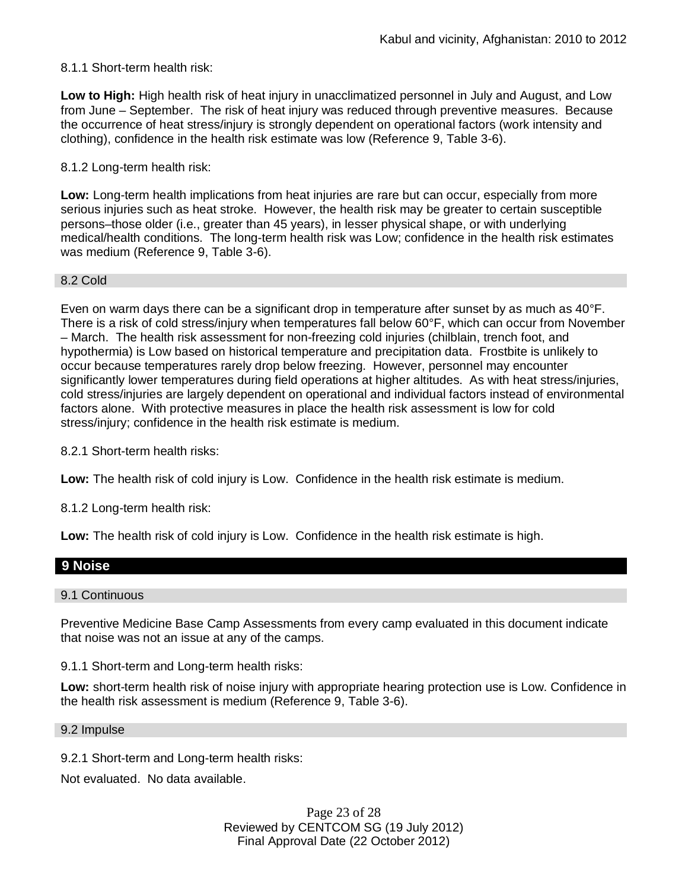### 8.1.1 Short-term health risk:

**Low to High:** High health risk of heat injury in unacclimatized personnel in July and August, and Low from June – September. The risk of heat injury was reduced through preventive measures. Because the occurrence of heat stress/injury is strongly dependent on operational factors (work intensity and clothing), confidence in the health risk estimate was low (Reference 9, Table 3-6).

### 8.1.2 Long-term health risk:

**Low:** Long-term health implications from heat injuries are rare but can occur, especially from more serious injuries such as heat stroke. However, the health risk may be greater to certain susceptible persons–those older (i.e., greater than 45 years), in lesser physical shape, or with underlying medical/health conditions. The long-term health risk was Low; confidence in the health risk estimates was medium (Reference 9, Table 3-6).

### 8.2 Cold

Even on warm days there can be a significant drop in temperature after sunset by as much as 40°F. There is a risk of cold stress/injury when temperatures fall below 60°F, which can occur from November – March. The health risk assessment for non-freezing cold injuries (chilblain, trench foot, and hypothermia) is Low based on historical temperature and precipitation data. Frostbite is unlikely to occur because temperatures rarely drop below freezing. However, personnel may encounter significantly lower temperatures during field operations at higher altitudes. As with heat stress/injuries, cold stress/injuries are largely dependent on operational and individual factors instead of environmental factors alone. With protective measures in place the health risk assessment is low for cold stress/injury; confidence in the health risk estimate is medium.

8.2.1 Short-term health risks:

**Low:** The health risk of cold injury is Low. Confidence in the health risk estimate is medium.

8.1.2 Long-term health risk:

**Low:** The health risk of cold injury is Low. Confidence in the health risk estimate is high.

## **9 Noise**

#### 9.1 Continuous

Preventive Medicine Base Camp Assessments from every camp evaluated in this document indicate that noise was not an issue at any of the camps.

9.1.1 Short-term and Long-term health risks:

**Low:** short-term health risk of noise injury with appropriate hearing protection use is Low. Confidence in the health risk assessment is medium (Reference 9, Table 3-6).

#### 9.2 Impulse

9.2.1 Short-term and Long-term health risks:

Not evaluated. No data available.

Page 23 of 28 Reviewed by CENTCOM SG (19 July 2012) Final Approval Date (22 October 2012)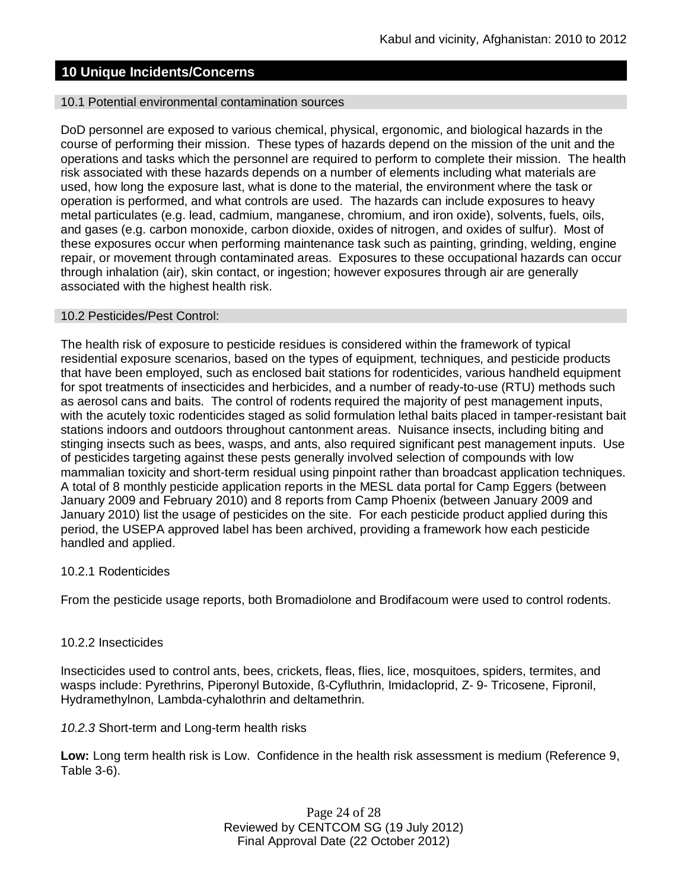### **10 Unique Incidents/Concerns**

#### 10.1 Potential environmental contamination sources

DoD personnel are exposed to various chemical, physical, ergonomic, and biological hazards in the course of performing their mission. These types of hazards depend on the mission of the unit and the operations and tasks which the personnel are required to perform to complete their mission. The health risk associated with these hazards depends on a number of elements including what materials are used, how long the exposure last, what is done to the material, the environment where the task or operation is performed, and what controls are used. The hazards can include exposures to heavy metal particulates (e.g. lead, cadmium, manganese, chromium, and iron oxide), solvents, fuels, oils, and gases (e.g. carbon monoxide, carbon dioxide, oxides of nitrogen, and oxides of sulfur). Most of these exposures occur when performing maintenance task such as painting, grinding, welding, engine repair, or movement through contaminated areas. Exposures to these occupational hazards can occur through inhalation (air), skin contact, or ingestion; however exposures through air are generally associated with the highest health risk.

#### 10.2 Pesticides/Pest Control:

The health risk of exposure to pesticide residues is considered within the framework of typical residential exposure scenarios, based on the types of equipment, techniques, and pesticide products that have been employed, such as enclosed bait stations for rodenticides, various handheld equipment for spot treatments of insecticides and herbicides, and a number of ready-to-use (RTU) methods such as aerosol cans and baits. The control of rodents required the majority of pest management inputs, with the acutely toxic rodenticides staged as solid formulation lethal baits placed in tamper-resistant bait stations indoors and outdoors throughout cantonment areas. Nuisance insects, including biting and stinging insects such as bees, wasps, and ants, also required significant pest management inputs. Use of pesticides targeting against these pests generally involved selection of compounds with low mammalian toxicity and short-term residual using pinpoint rather than broadcast application techniques. A total of 8 monthly pesticide application reports in the MESL data portal for Camp Eggers (between January 2009 and February 2010) and 8 reports from Camp Phoenix (between January 2009 and January 2010) list the usage of pesticides on the site. For each pesticide product applied during this period, the USEPA approved label has been archived, providing a framework how each pesticide handled and applied.

### 10.2.1 Rodenticides

From the pesticide usage reports, both Bromadiolone and Brodifacoum were used to control rodents.

### 10.2.2 Insecticides

Insecticides used to control ants, bees, crickets, fleas, flies, lice, mosquitoes, spiders, termites, and wasps include: Pyrethrins, Piperonyl Butoxide, ß-Cyfluthrin, Imidacloprid, Z- 9- Tricosene, Fipronil, Hydramethylnon, Lambda-cyhalothrin and deltamethrin.

### *10.2.3* Short-term and Long-term health risks

**Low:** Long term health risk is Low. Confidence in the health risk assessment is medium (Reference 9, Table 3-6).

> Page 24 of 28 Reviewed by CENTCOM SG (19 July 2012) Final Approval Date (22 October 2012)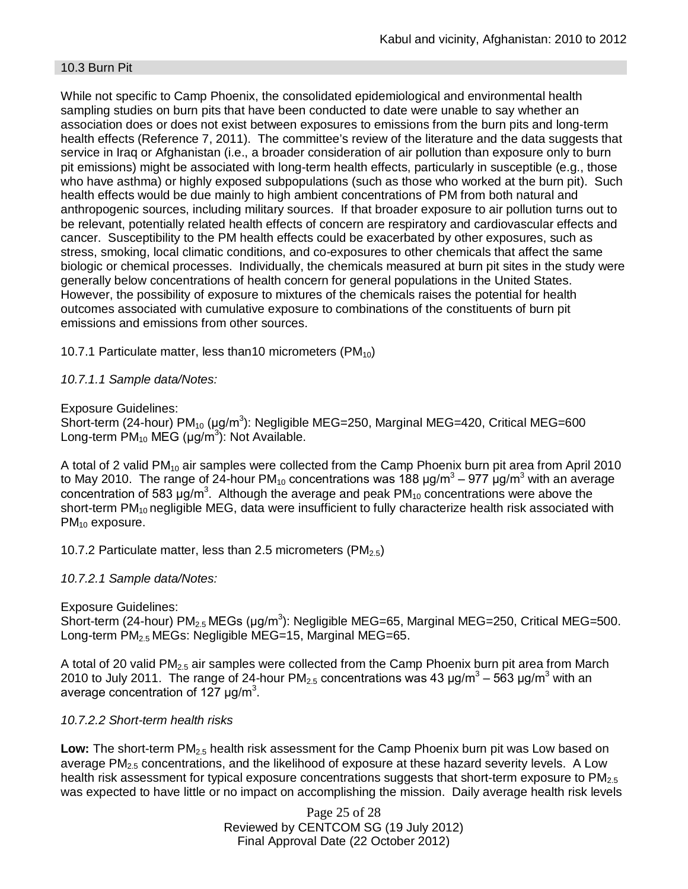### 10.3 Burn Pit

While not specific to Camp Phoenix, the consolidated epidemiological and environmental health sampling studies on burn pits that have been conducted to date were unable to say whether an association does or does not exist between exposures to emissions from the burn pits and long-term health effects (Reference 7, 2011). The committee's review of the literature and the data suggests that service in Iraq or Afghanistan (i.e., a broader consideration of air pollution than exposure only to burn pit emissions) might be associated with long-term health effects, particularly in susceptible (e.g., those who have asthma) or highly exposed subpopulations (such as those who worked at the burn pit). Such health effects would be due mainly to high ambient concentrations of PM from both natural and anthropogenic sources, including military sources. If that broader exposure to air pollution turns out to be relevant, potentially related health effects of concern are respiratory and cardiovascular effects and cancer. Susceptibility to the PM health effects could be exacerbated by other exposures, such as stress, smoking, local climatic conditions, and co-exposures to other chemicals that affect the same biologic or chemical processes. Individually, the chemicals measured at burn pit sites in the study were generally below concentrations of health concern for general populations in the United States. However, the possibility of exposure to mixtures of the chemicals raises the potential for health outcomes associated with cumulative exposure to combinations of the constituents of burn pit emissions and emissions from other sources.

10.7.1 Particulate matter, less than 10 micrometers (PM $_{10}$ )

## *10.7.1.1 Sample data/Notes:*

## Exposure Guidelines:

Short-term (24-hour) PM<sub>10</sub> (μg/m<sup>3</sup>): Negligible MEG=250, Marginal MEG=420, Critical MEG=600 Long-term  $PM_{10}$  MEG (µg/m<sup>3</sup>): Not Available.

A total of 2 valid PM<sub>10</sub> air samples were collected from the Camp Phoenix burn pit area from April 2010 to May 2010. The range of 24-hour PM<sub>10</sub> concentrations was 188 μg/m $^3$  – 977 μg/m $^3$  with an average concentration of 583  $\mu$ g/m<sup>3</sup>. Although the average and peak PM<sub>10</sub> concentrations were above the short-term PM<sub>10</sub> negligible MEG, data were insufficient to fully characterize health risk associated with PM<sub>10</sub> exposure.

10.7.2 Particulate matter, less than 2.5 micrometers (PM<sub>2.5</sub>)

## *10.7.2.1 Sample data/Notes:*

Exposure Guidelines: Short-term (24-hour) PM<sub>2.5</sub> MEGs (μg/m<sup>3</sup>): Negligible MEG=65, Marginal MEG=250, Critical MEG=500. Long-term PM<sub>2.5</sub> MEGs: Negligible MEG=15, Marginal MEG=65.

A total of 20 valid  $PM<sub>2.5</sub>$  air samples were collected from the Camp Phoenix burn pit area from March 2010 to July 2011. The range of 24-hour PM<sub>2.5</sub> concentrations was 43 μg/m<sup>3</sup> – 563 μg/m<sup>3</sup> with an average concentration of 127  $\mu$ g/m<sup>3</sup>.

## *10.7.2.2 Short-term health risks*

Low: The short-term PM<sub>2.5</sub> health risk assessment for the Camp Phoenix burn pit was Low based on average  $PM<sub>2.5</sub>$  concentrations, and the likelihood of exposure at these hazard severity levels. A Low health risk assessment for typical exposure concentrations suggests that short-term exposure to PM<sub>2.5</sub> was expected to have little or no impact on accomplishing the mission. Daily average health risk levels

> Page 25 of 28 Reviewed by CENTCOM SG (19 July 2012) Final Approval Date (22 October 2012)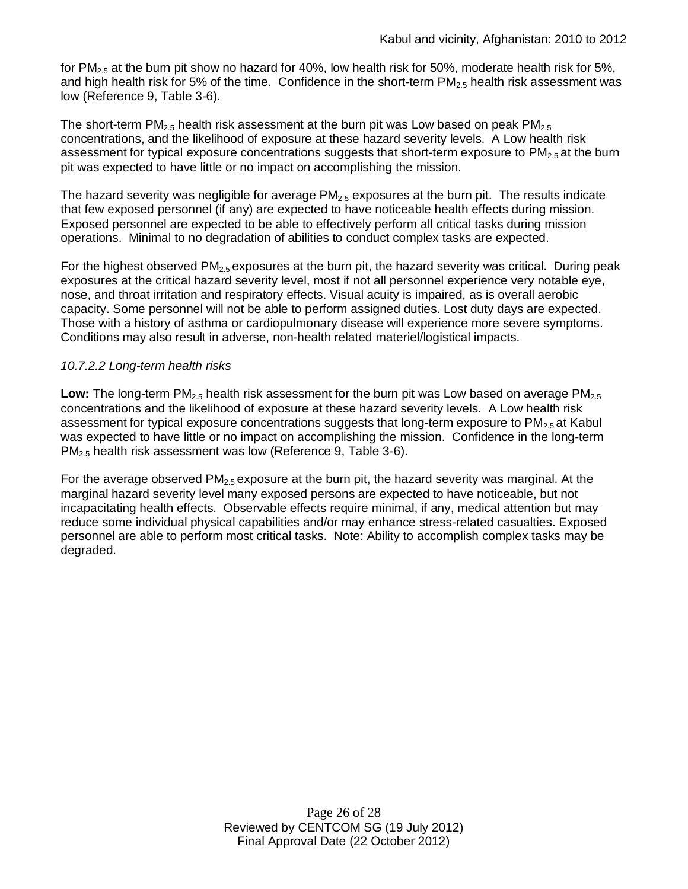for  $PM_{2.5}$  at the burn pit show no hazard for 40%, low health risk for 50%, moderate health risk for 5%, and high health risk for 5% of the time. Confidence in the short-term  $PM_{2.5}$  health risk assessment was low (Reference 9, Table 3-6).

The short-term PM<sub>2.5</sub> health risk assessment at the burn pit was Low based on peak PM<sub>2.5</sub> concentrations, and the likelihood of exposure at these hazard severity levels. A Low health risk assessment for typical exposure concentrations suggests that short-term exposure to  $PM_{2.5}$  at the burn pit was expected to have little or no impact on accomplishing the mission.

The hazard severity was negligible for average  $PM<sub>2.5</sub>$  exposures at the burn pit. The results indicate that few exposed personnel (if any) are expected to have noticeable health effects during mission. Exposed personnel are expected to be able to effectively perform all critical tasks during mission operations. Minimal to no degradation of abilities to conduct complex tasks are expected.

For the highest observed  $PM<sub>2.5</sub>$  exposures at the burn pit, the hazard severity was critical. During peak exposures at the critical hazard severity level, most if not all personnel experience very notable eye, nose, and throat irritation and respiratory effects. Visual acuity is impaired, as is overall aerobic capacity. Some personnel will not be able to perform assigned duties. Lost duty days are expected. Those with a history of asthma or cardiopulmonary disease will experience more severe symptoms. Conditions may also result in adverse, non-health related materiel/logistical impacts.

## *10.7.2.2 Long-term health risks*

**Low:** The long-term PM<sub>2.5</sub> health risk assessment for the burn pit was Low based on average PM<sub>2.5</sub> concentrations and the likelihood of exposure at these hazard severity levels. A Low health risk assessment for typical exposure concentrations suggests that long-term exposure to  $PM<sub>2.5</sub>$  at Kabul was expected to have little or no impact on accomplishing the mission. Confidence in the long-term PM2.5 health risk assessment was low (Reference 9, Table 3-6).

For the average observed PM<sub>2.5</sub> exposure at the burn pit, the hazard severity was marginal. At the marginal hazard severity level many exposed persons are expected to have noticeable, but not incapacitating health effects. Observable effects require minimal, if any, medical attention but may reduce some individual physical capabilities and/or may enhance stress-related casualties. Exposed personnel are able to perform most critical tasks. Note: Ability to accomplish complex tasks may be degraded.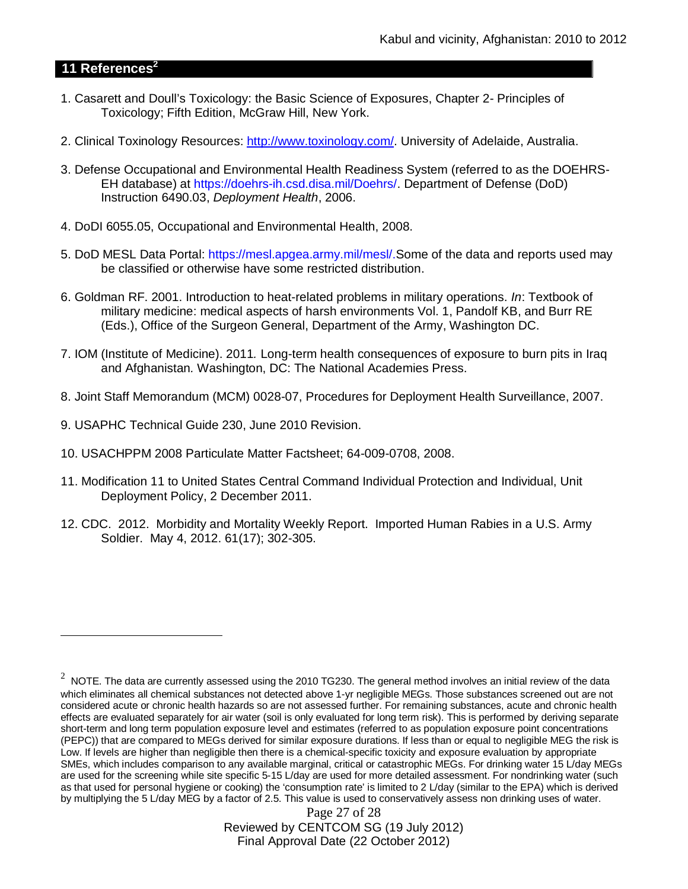## **11 References<sup>2</sup>**

- 1. Casarett and Doull's Toxicology: the Basic Science of Exposures, Chapter 2- Principles of Toxicology; Fifth Edition, McGraw Hill, New York.
- 2. Clinical Toxinology Resources: http://www.toxinology.com/. University of Adelaide, Australia.
- 3. Defense Occupational and Environmental Health Readiness System (referred to as the DOEHRS-EH database) at https://doehrs-ih.csd.disa.mil/Doehrs/. Department of Defense (DoD) Instruction 6490.03, *Deployment Health*, 2006.
- 4. DoDI 6055.05, Occupational and Environmental Health, 2008.
- 5. DoD MESL Data Portal: https://mesl.apgea.army.mil/mesl/.Some of the data and reports used may be classified or otherwise have some restricted distribution.
- 6. Goldman RF. 2001. Introduction to heat-related problems in military operations. *In*: Textbook of military medicine: medical aspects of harsh environments Vol. 1, Pandolf KB, and Burr RE (Eds.), Office of the Surgeon General, Department of the Army, Washington DC.
- 7. IOM (Institute of Medicine). 2011*.* Long-term health consequences of exposure to burn pits in Iraq and Afghanistan*.* Washington, DC: The National Academies Press.
- 8. Joint Staff Memorandum (MCM) 0028-07, Procedures for Deployment Health Surveillance, 2007.
- 9. USAPHC Technical Guide 230, June 2010 Revision.
- 10. USACHPPM 2008 Particulate Matter Factsheet; 64-009-0708, 2008.
- 11. Modification 11 to United States Central Command Individual Protection and Individual, Unit Deployment Policy, 2 December 2011.
- 12. CDC. 2012. Morbidity and Mortality Weekly Report. Imported Human Rabies in a U.S. Army Soldier. May 4, 2012. 61(17); 302-305.

Page 27 of 28 Reviewed by CENTCOM SG (19 July 2012) Final Approval Date (22 October 2012)

<sup>2</sup> NOTE. The data are currently assessed using the 2010 TG230. The general method involves an initial review of the data which eliminates all chemical substances not detected above 1-yr negligible MEGs. Those substances screened out are not considered acute or chronic health hazards so are not assessed further. For remaining substances, acute and chronic health effects are evaluated separately for air water (soil is only evaluated for long term risk). This is performed by deriving separate short-term and long term population exposure level and estimates (referred to as population exposure point concentrations (PEPC)) that are compared to MEGs derived for similar exposure durations. If less than or equal to negligible MEG the risk is Low. If levels are higher than negligible then there is a chemical-specific toxicity and exposure evaluation by appropriate SMEs, which includes comparison to any available marginal, critical or catastrophic MEGs. For drinking water 15 L/day MEGs are used for the screening while site specific 5-15 L/day are used for more detailed assessment. For nondrinking water (such as that used for personal hygiene or cooking) the 'consumption rate' is limited to 2 L/day (similar to the EPA) which is derived by multiplying the 5 L/day MEG by a factor of 2.5. This value is used to conservatively assess non drinking uses of water.